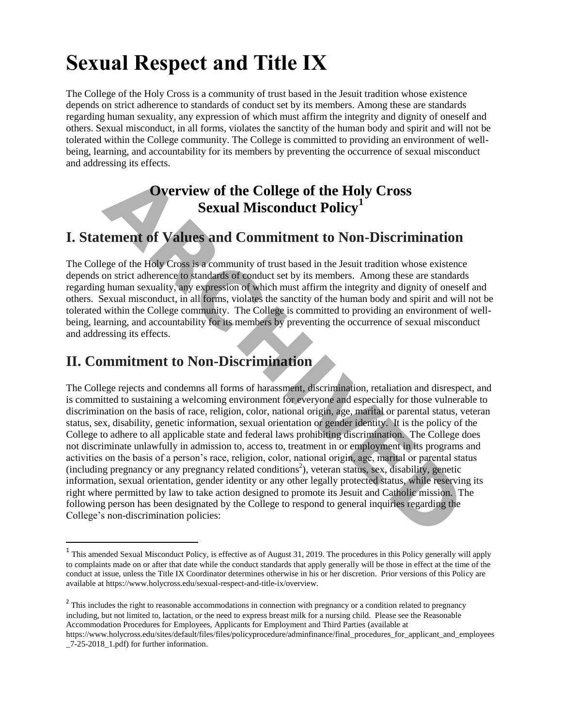# **Sexual Respect and Title IX**

The College of the Holy Cross is a community of trust based in the Jesuit tradition whose existence depends on strict adherence to standards of conduct set by its members. Among these are standards regarding human sexuality, any expression of which must affirm the integrity and dignity of oneself and others. Sexual misconduct, in all forms, violates the sanctity of the human body and spirit and will not be tolerated within the College community. The College is committed to providing an environment of wellbeing, learning, and accountability for its members by preventing the occurrence of sexual misconduct and addressing its effects.

# **Overview of the College of the Holy Cross Sexual Misconduct Policy<sup>1</sup>**

# **I. Statement of Values and Commitment to Non-Discrimination**

The College of the Holy Cross is a community of trust based in the Jesuit tradition whose existence depends on strict adherence to standards of conduct set by its members. Among these are standards regarding human sexuality, any expression of which must affirm the integrity and dignity of oneself and others. Sexual misconduct, in all forms, violates the sanctity of the human body and spirit and will not be tolerated within the College community. The College is committed to providing an environment of wellbeing, learning, and accountability for its members by preventing the occurrence of sexual misconduct and addressing its effects.

# **II. Commitment to Non-Discrimination**

The College rejects and condemns all forms of harassment, discrimination, retaliation and disrespect, and is committed to sustaining a welcoming environment for everyone and especially for those vulnerable to discrimination on the basis of race, religion, color, national origin, age, marital or parental status, veteran status, sex, disability, genetic information, sexual orientation or gender identity. It is the policy of the College to adhere to all applicable state and federal laws prohibiting discrimination. The College does not discriminate unlawfully in admission to, access to, treatment in or employment in its programs and activities on the basis of a person's race, religion, color, national origin, age, marital or parental status (including pregnancy or any pregnancy related conditions<sup>2</sup>), veteran status, sex, disability, genetic information, sexual orientation, gender identity or any other legally protected status, while reserving its right where permitted by law to take action designed to promote its Jesuit and Catholic mission. The following person has been designated by the College to respond to general inquiries regarding the College's non-discrimination policies: **Overview of the College of the Holy Cross**<br> **Sexual Misconduct Policy<sup>1</sup><br>
terment of Values and Commitment to Non-Discriminatie<br>
ege of the Holy Cross is a community of trust based in the Jesuit tradition whose exist<br>
on** 

<sup>&</sup>lt;sup>1</sup> This amended Sexual Misconduct Policy, is effective as of August 31, 2019. The procedures in this Policy generally will apply to complaints made on or after that date while the conduct standards that apply generally will be those in effect at the time of the conduct at issue, unless the Title IX Coordinator determines otherwise in his or her discretion. Prior versions of this Policy are available at https://www.holycross.edu/sexual-respect-and-title-ix/overview.

 $2<sup>2</sup>$  This includes the right to reasonable accommodations in connection with pregnancy or a condition related to pregnancy including, but not limited to, lactation, or the need to express breast milk for a nursing child. Please see the [Reasonable](https://www.holycross.edu/sites/default/files/files/policyprocedure/adminfinance/final_procedures_for_applicant_and_employees_7-25-2018_1.pdf)  [Accommodation Procedures for Employees, Applicants for Employment and Third Parties \(](https://www.holycross.edu/sites/default/files/files/policyprocedure/adminfinance/final_procedures_for_applicant_and_employees_7-25-2018_1.pdf)available at [https://www.holycross.edu/sites/default/files/files/policyprocedure/adminfinance/final\\_procedures\\_for\\_applicant\\_and\\_employees](https://www.holycross.edu/sites/default/files/files/policyprocedure/adminfinance/final_procedures_for_applicant_and_employees_7-25-2018_1.pdf) [\\_7-25-2018\\_1.pdf\)](https://www.holycross.edu/sites/default/files/files/policyprocedure/adminfinance/final_procedures_for_applicant_and_employees_7-25-2018_1.pdf) for further information.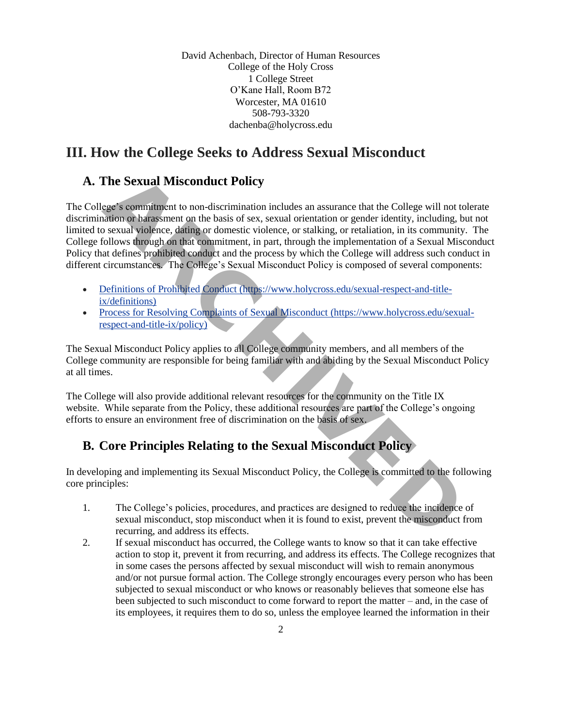David Achenbach, Director of Human Resources College of the Holy Cross 1 College Street O'Kane Hall, Room B72 Worcester, MA 01610 508-793-3320 [dachenba@holycross.edu](mailto:DAchenba@holycross.edu)

# **III. How the College Seeks to Address Sexual Misconduct**

# **A. The Sexual Misconduct Policy**

The College's commitment to non-discrimination includes an assurance that the College will not tolerate discrimination or harassment on the basis of sex, sexual orientation or gender identity, including, but not limited to sexual violence, dating or domestic violence, or stalking, or retaliation, in its community. The College follows through on that commitment, in part, through the implementation of a Sexual Misconduct Policy that defines prohibited conduct and the process by which the College will address such conduct in different circumstances. The College's Sexual Misconduct Policy is composed of several components: **The Sexual Misconduct Policy**<br>
ege's commitment to non-discrimination includes an assurance that the College will mation or barassment on the basis of sex, sexual orientation or gender identity, including<br>
a sexual violen

- Definitions of Prohibited Conduct (https://www.holycross.edu/sexual-respect-and-titleix/definitions)
- Process for Resolving Complaints of Sexual Misconduct (https://www.holycross.edu/sexualrespect-and-title-ix/policy)

The Sexual Misconduct Policy applies to all College community members, and all members of the College community are responsible for being familiar with and abiding by the Sexual Misconduct Policy at all times.

The College will also provide additional relevant resources for the community on the Title IX website. While separate from the Policy, these additional resources are part of the College's ongoing efforts to ensure an environment free of discrimination on the basis of sex.

# **B. Core Principles Relating to the Sexual Misconduct Policy**

In developing and implementing its Sexual Misconduct Policy, the College is committed to the following core principles:

- 1. The College's policies, procedures, and practices are designed to reduce the incidence of sexual misconduct, stop misconduct when it is found to exist, prevent the misconduct from recurring, and address its effects.
- 2. If sexual misconduct has occurred, the College wants to know so that it can take effective action to stop it, prevent it from recurring, and address its effects. The College recognizes that in some cases the persons affected by sexual misconduct will wish to remain anonymous and/or not pursue formal action. The College strongly encourages every person who has been subjected to sexual misconduct or who knows or reasonably believes that someone else has been subjected to such misconduct to come forward to report the matter – and, in the case of its employees, it requires them to do so, unless the employee learned the information in their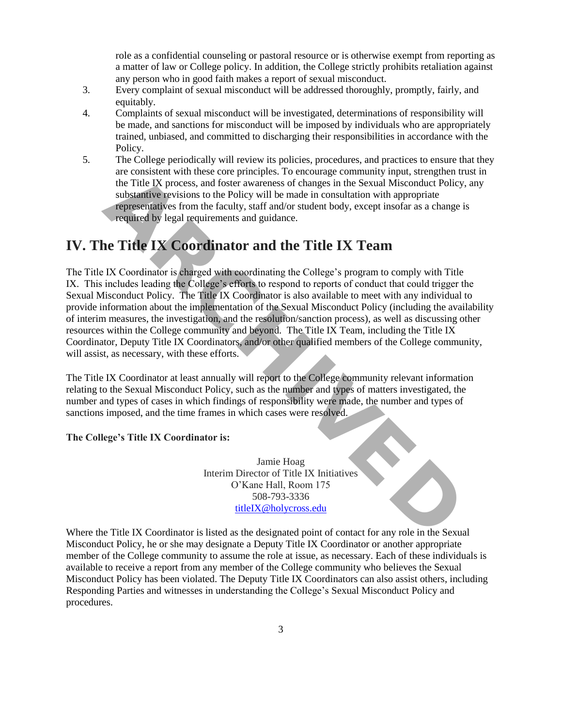role as a confidential counseling or pastoral resource or is otherwise exempt from reporting as a matter of law or College policy. In addition, the College strictly prohibits retaliation against any person who in good faith makes a report of sexual misconduct.

- 3. Every complaint of sexual misconduct will be addressed thoroughly, promptly, fairly, and equitably.
- 4. Complaints of sexual misconduct will be investigated, determinations of responsibility will be made, and sanctions for misconduct will be imposed by individuals who are appropriately trained, unbiased, and committed to discharging their responsibilities in accordance with the Policy.
- 5. The College periodically will review its policies, procedures, and practices to ensure that they are consistent with these core principles. To encourage community input, strengthen trust in the Title IX process, and foster awareness of changes in the Sexual Misconduct Policy, any substantive revisions to the Policy will be made in consultation with appropriate representatives from the faculty, staff and/or student body, except insofar as a change is required by legal requirements and guidance.

# **IV. The Title IX Coordinator and the Title IX Team**

The Title IX Coordinator is charged with coordinating the College's program to comply with Title IX[.](http://www.holycross.edu/sexual-respect-and-title-ix/overview#Ft1) This includes leading the College's efforts to respond to reports of conduct that could trigger the Sexual Misconduct Policy. The Title IX Coordinator is also available to meet with any individual to provide information about the implementation of the Sexual Misconduct Policy (including the availability of interim measures, the investigation, and the resolution/sanction process), as well as discussing other resources within the College community and beyond. The Title IX Team, including the Title IX Coordinator, Deputy Title IX Coordinators, and/or other qualified members of the College community, will assist, as necessary, with these efforts. are consistent with use core pinnelipse. To encourage community impul, sure<br>are consistent with the Title IX process, and foster awareness of changes in the Sexual Misconduct Polar<br>substantive revisions to the Policy will

The Title IX Coordinator at least annually will report to the College community relevant information relating to the Sexual Misconduct Policy, such as the number and types of matters investigated, the number and types of cases in which findings of responsibility were made, the number and types of sanctions imposed, and the time frames in which cases were resolved.

# **The College's Title IX Coordinator is:**

Jamie Hoag Interim Director of Title IX Initiatives O'Kane Hall, Room 175 508-793-3336 titleIX@holycross.edu

Where the Title IX Coordinator is listed as the designated point of contact for any role in the Sexual Misconduct Policy, he or she may designate a Deputy Title IX Coordinator or another appropriate member of the College community to assume the role at issue, as necessary. Each of these individuals is available to receive a report from any member of the College community who believes the Sexual Misconduct Policy has been violated. The Deputy Title IX Coordinators can also assist others, including Responding Parties and witnesses in understanding the College's Sexual Misconduct Policy and procedures.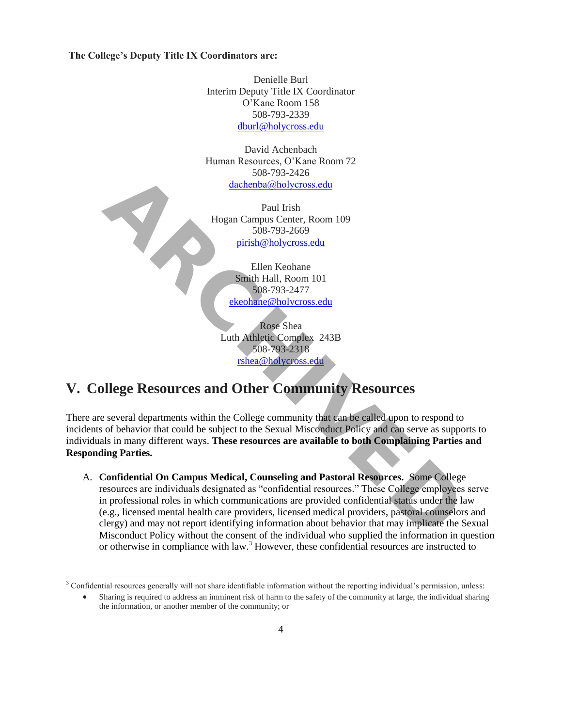**The College's Deputy Title IX Coordinators are:**

Denielle Burl Interim Deputy Title IX Coordinator O'Kane Room 158 508-793-2339 [dburl@holycross.edu](mailto:dburl@holycross.edu)

David Achenbach Human Resources, O'Kane Room 72 508-793-2426 dachenba@holycross.edu

Paul Irish Hogan Campus Center, Room 109 508-793-2669 pirish@holycross.edu

> Ellen Keohane Smith Hall, Room 101 508-793-2477 ekeohane@holycross.edu

Rose Shea Luth Athletic Complex 243B 508-793-2318 rshea@holycross.edu

# **V. College Resources and Other Community Resources**

There are several departments within the College community that can be called upon to respond to incidents of behavior that could be subject to the Sexual Misconduct Policy and can serve as supports to individuals in many different ways. **These resources are available to both Complaining Parties and Responding Parties.** 

A. **Confidential On Campus Medical, Counseling and Pastoral Resources.** Some College resources are individuals designated as "confidential resources." These College employees serve in professional roles in which communications are provided confidential status under the law (e.g., licensed mental health care providers, licensed medical providers, pastoral counselors and clergy) and may not report identifying information about behavior that may implicate the Sexual Misconduct Policy without the consent of the individual who supplied the information in question or otherwise in compliance with law.<sup>3</sup> However, these confidential resources are instructed to For the state of the column of the column of the state of the state of the state of the state of the state of the state of the state of the state of the state of the state of the state of the state of the state of the stat

<sup>&</sup>lt;sup>3</sup> Confidential resources generally will not share identifiable information without the reporting individual's permission, unless:

Sharing is required to address an imminent risk of harm to the safety of the community at large, the individual sharing the information, or another member of the community; or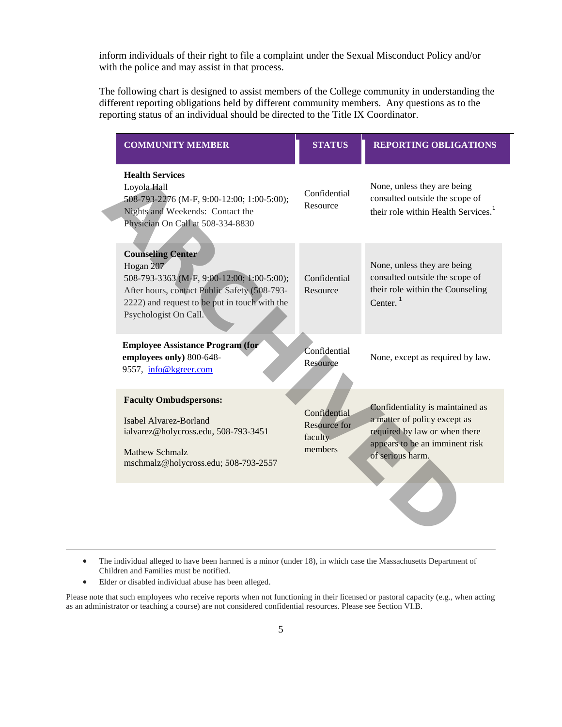inform individuals of their right to file a complaint under the Sexual Misconduct Policy and/or with the police and may assist in that process.

The following chart is designed to assist members of the College community in understanding the different reporting obligations held by different community members. Any questions as to the reporting status of an individual should be directed to the Title IX Coordinator.

| <b>COMMUNITY MEMBER</b>                                                                                                                                                                                       | <b>STATUS</b>                                             | <b>REPORTING OBLIGATIONS</b>                                                                                                                            |
|---------------------------------------------------------------------------------------------------------------------------------------------------------------------------------------------------------------|-----------------------------------------------------------|---------------------------------------------------------------------------------------------------------------------------------------------------------|
| <b>Health Services</b><br>Loyola Hall<br>508-793-2276 (M-F, 9:00-12:00; 1:00-5:00);<br>Nights and Weekends: Contact the<br>Physician On Call at 508-334-8830                                                  | Confidential<br>Resource                                  | None, unless they are being<br>consulted outside the scope of<br>their role within Health Services. <sup>1</sup>                                        |
| <b>Counseling Center</b><br>Hogan 207<br>508-793-3363 (M-F, 9:00-12:00; 1:00-5:00);<br>After hours, contact Public Safety (508-793-<br>2222) and request to be put in touch with the<br>Psychologist On Call. | Confidential<br>Resource                                  | None, unless they are being<br>consulted outside the scope of<br>their role within the Counseling<br>Center. $1$                                        |
| <b>Employee Assistance Program (for</b><br>employees only) 800-648-<br>9557, info@kgreer.com                                                                                                                  | Confidential<br>Resource                                  | None, except as required by law.                                                                                                                        |
| <b>Faculty Ombudspersons:</b><br>Isabel Alvarez-Borland<br>ialvarez@holycross.edu, 508-793-3451<br><b>Mathew Schmalz</b><br>mschmalz@holycross.edu; 508-793-2557                                              | Confidential<br><b>Resource for</b><br>faculty<br>members | Confidentiality is maintained as<br>a matter of policy except as<br>required by law or when there<br>appears to be an imminent risk<br>of serious harm. |
|                                                                                                                                                                                                               |                                                           |                                                                                                                                                         |

- The individual alleged to have been harmed is a minor (under 18), in which case the Massachusetts Department of Children and Families must be notified.
- Elder or disabled individual abuse has been alleged.

l

Please note that such employees who receive reports when not functioning in their licensed or pastoral capacity (e.g., when acting as an administrator or teaching a course) are not considered confidential resources. Please see Section VI.B.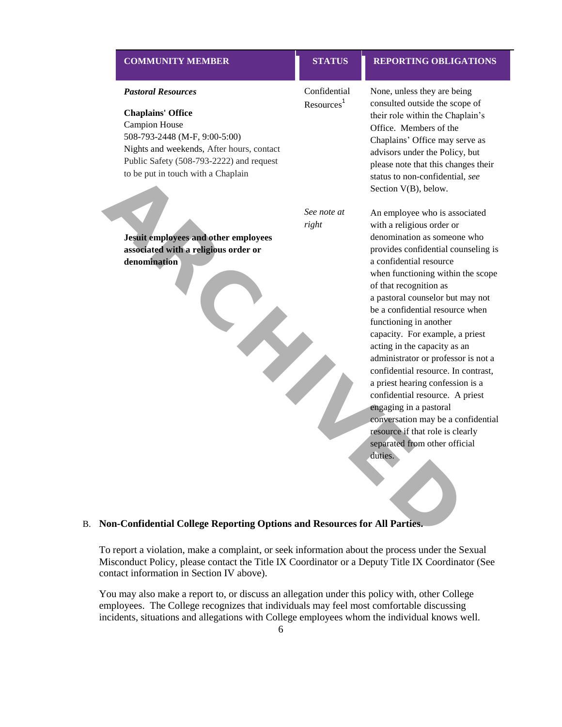# *Pastoral Resources* **Chaplains' Office** Campion House 508-793-2448 (M-F, 9:00-5:00) Nights and weekends, After hours, contact Public Safety (508-793-2222) and request to be put in touch with a Chaplain Confidential Resources<sup>1</sup>

**Jesuit employees and other employees associated with a religious order or denomination**

*See note at right*

# **COMMUNITY MEMBER STATUS REPORTING OBLIGATIONS**

None, unless they are being consulted outside the scope of their role within the Chaplain's Office. Members of the Chaplains' Office may serve as advisors under the Policy, but please note that this changes their status to non-confidential, *see*  Section V(B), below.

An employee who is associated with a religious order or denomination as someone who provides confidential counseling is a confidential resource when functioning within the scope of that recognition as a pastoral counselor but may not be a confidential resource when functioning in another capacity. For example, a priest acting in the capacity as an administrator or professor is not a confidential resource. In contrast, a priest hearing confession is a confidential resource. A priest engaging in a pastoral conversation may be a confidential resource if that role is clearly separated from other official duties. to be put in fouch with a Chaplain<br>
status to non-confider<br>
See *note* at<br>
An employee who is right<br>
status to non-confident<br>
aconfidential resources<br>
denomination as some<br>
denomination as some<br>
provides confidential resou

### B. **Non-Confidential College Reporting Options and Resources for All Parties.**

To report a violation, make a complaint, or seek information about the process under the Sexual Misconduct Policy, please contact the Title IX Coordinator or a Deputy Title IX Coordinator (See contact information in Section IV above).

You may also make a report to, or discuss an allegation under this policy with, other College employees. The College recognizes that individuals may feel most comfortable discussing incidents, situations and allegations with College employees whom the individual knows well.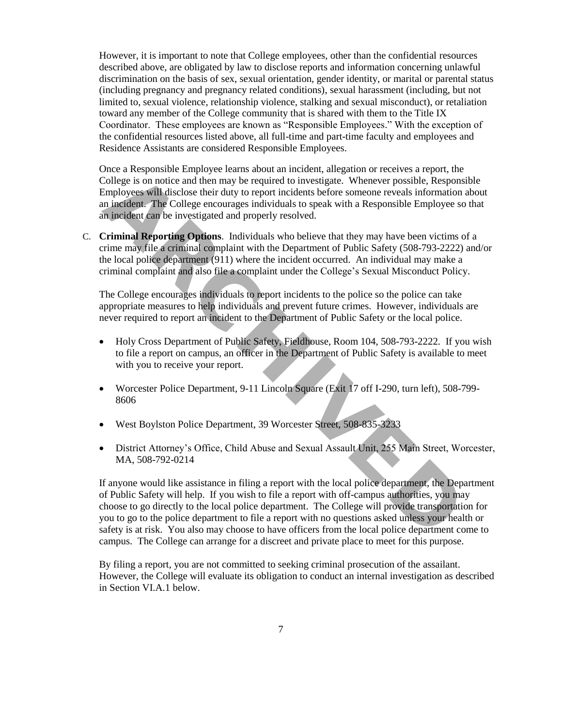However, it is important to note that College employees, other than the confidential resources described above, are obligated by law to disclose reports and information concerning unlawful discrimination on the basis of sex, sexual orientation, gender identity, or marital or parental status (including pregnancy and pregnancy related conditions), sexual harassment (including, but not limited to, sexual violence, relationship violence, stalking and sexual misconduct), or retaliation toward any member of the College community that is shared with them to the Title IX Coordinator. These employees are known as "Responsible Employees." With the exception of the confidential resources listed above, all full-time and part-time faculty and employees and Residence Assistants are considered Responsible Employees.

Once a Responsible Employee learns about an incident, allegation or receives a report, the College is on notice and then may be required to investigate. Whenever possible, Responsible Employees will disclose their duty to report incidents before someone reveals information about an incident. The College encourages individuals to speak with a Responsible Employee so that an incident can be investigated and properly resolved. College is on notice and then may be required to investigate. Whenever possible, Respectively<br>college is on notice and then may be required to investigate. Whenever possible, Respectively<br>for the may be required to investi

C. **Criminal Reporting Options**. Individuals who believe that they may have been victims of a crime may file a criminal complaint with the Department of Public Safety (508-793-2222) and/or the local police department (911) where the incident occurred. An individual may make a criminal complaint and also file a complaint under the College's Sexual Misconduct Policy.

The College encourages individuals to report incidents to the police so the police can take appropriate measures to help individuals and prevent future crimes. However, individuals are never required to report an incident to the Department of Public Safety or the local police.

- Holy Cross Department of Public Safety, Fieldhouse, Room 104, 508-793-2222. If you wish to file a report on campus, an officer in the Department of Public Safety is available to meet with you to receive your report.
- Worcester Police Department, 9-11 Lincoln Square (Exit 17 off I-290, turn left), 508-799- 8606
- West Boylston Police Department, 39 Worcester Street, 508-835-3233
- District Attorney's Office, Child Abuse and Sexual Assault Unit, 255 Main Street, Worcester, MA, 508-792-0214

If anyone would like assistance in filing a report with the local police department, the Department of Public Safety will help. If you wish to file a report with off-campus authorities, you may choose to go directly to the local police department. The College will provide transportation for you to go to the police department to file a report with no questions asked unless your health or safety is at risk. You also may choose to have officers from the local police department come to campus. The College can arrange for a discreet and private place to meet for this purpose.

By filing a report, you are not committed to seeking criminal prosecution of the assailant. However, the College will evaluate its obligation to conduct an internal investigation as described in Section VI.A.1 below.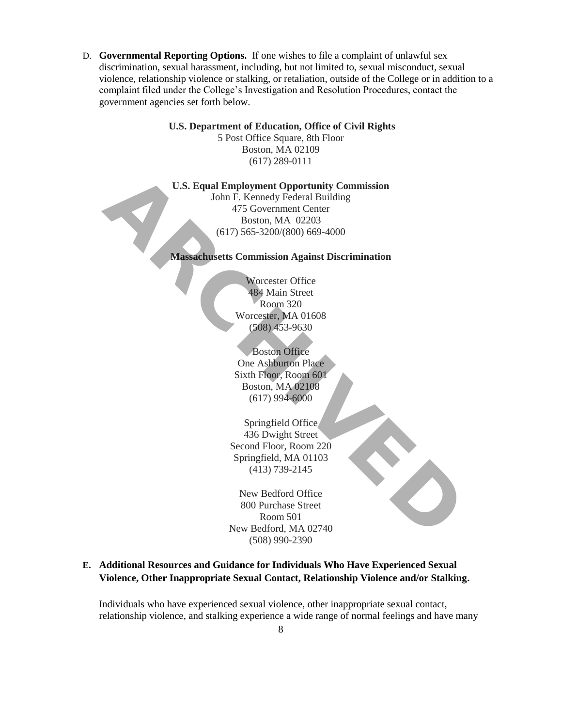D. **Governmental Reporting Options.** If one wishes to file a complaint of unlawful sex discrimination, sexual harassment, including, but not limited to, sexual misconduct, sexual violence, relationship violence or stalking, or retaliation, outside of the College or in addition to a complaint filed under the College's Investigation and Resolution Procedures, contact the government agencies set forth below.

### **U.S. Department of Education, Office of Civil Rights**

5 Post Office Square, 8th Floor Boston, MA 02109 (617) 289-0111

**U.S. Equal Employment Opportunity Commission**

John F. Kennedy Federal Building 475 Government Center Boston, MA 02203 (617) 565-3200/(800) 669-4000 **U.S. Equal Employment Opportunity Commission**<br>
John F. Kennedy Federal Building<br>
475 Government Center<br>
Boston, MA 02203<br>
(617) 565-3200/(800) 669-4000<br> **Massachusetts Commission Against Discrimination**<br>
Worcester Office<br>

**Massachusetts Commission Against Discrimination**

Worcester Office 484 Main Street Room 320 Worcester, MA 01608 (508) 453-9630

Boston Office One Ashburton Place Sixth Floor, Room 601 Boston, MA 02108 (617) 994-6000

Springfield Office 436 Dwight Street Second Floor, Room 220 Springfield, MA 01103 (413) 739-2145

New Bedford Office 800 Purchase Street Room 501 New Bedford, MA 02740 (508) 990-2390

**E. Additional Resources and Guidance for Individuals Who Have Experienced Sexual Violence, Other Inappropriate Sexual Contact, Relationship Violence and/or Stalking.** 

Individuals who have experienced sexual violence, other inappropriate sexual contact, relationship violence, and stalking experience a wide range of normal feelings and have many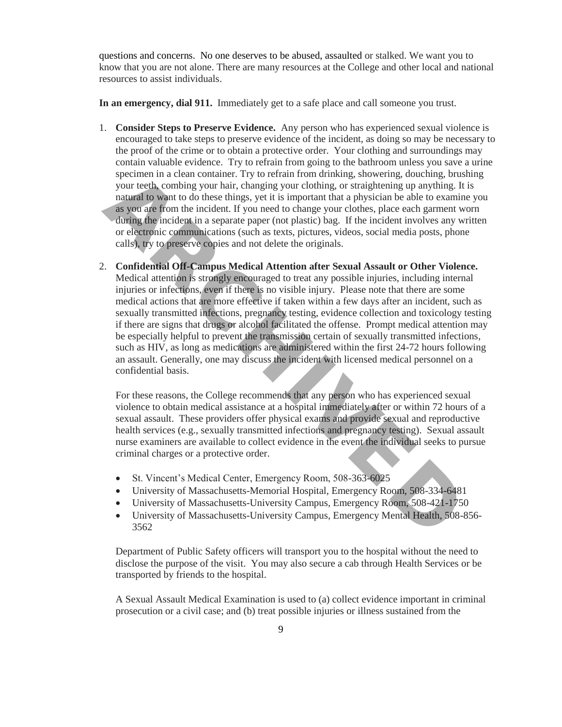questions and concerns. No one deserves to be abused, assaulted or stalked. We want you to know that you are not alone. There are many resources at the College and other local and national resources to assist individuals.

**In an emergency, dial 911.** Immediately get to a safe place and call someone you trust.

- 1. **Consider Steps to Preserve Evidence.** Any person who has experienced sexual violence is encouraged to take steps to preserve evidence of the incident, as doing so may be necessary to the proof of the crime or to obtain a protective order. Your clothing and surroundings may contain valuable evidence. Try to refrain from going to the bathroom unless you save a urine specimen in a clean container. Try to refrain from drinking, showering, douching, brushing your teeth, combing your hair, changing your clothing, or straightening up anything. It is natural to want to do these things, yet it is important that a physician be able to examine you as you are from the incident. If you need to change your clothes, place each garment worn during the incident in a separate paper (not plastic) bag. If the incident involves any written or electronic communications (such as texts, pictures, videos, social media posts, phone calls), try to preserve copies and not delete the originals.
- 2. **Confidential Off-Campus Medical Attention after Sexual Assault or Other Violence.**  Medical attention is strongly encouraged to treat any possible injuries, including internal injuries or infections, even if there is no visible injury. Please note that there are some medical actions that are more effective if taken within a few days after an incident, such as sexually transmitted infections, pregnancy testing, evidence collection and toxicology testing if there are signs that drugs or alcohol facilitated the offense. Prompt medical attention may be especially helpful to prevent the transmission certain of sexually transmitted infections, such as HIV, as long as medications are administered within the first 24-72 hours following an assault. Generally, one may discuss the incident with licensed medical personnel on a confidential basis. specimen in a clean container. Try to refrain from drinking, showering, douching, the sympthing up anything to wount tech, combing your larit, from the medical to want to do these things, yet it is important that a physici

For these reasons, the College recommends that any person who has experienced sexual violence to obtain medical assistance at a hospital immediately after or within 72 hours of a sexual assault. These providers offer physical exams and provide sexual and reproductive health services (e.g., sexually transmitted infections and pregnancy testing). Sexual assault nurse examiners are available to collect evidence in the event the individual seeks to pursue criminal charges or a protective order.

- St. Vincent's Medical Center, Emergency Room, 508-363-6025
- University of Massachusetts-Memorial Hospital, Emergency Room, 508-334-6481
- University of Massachusetts-University Campus, Emergency Room, 508-421-1750
- University of Massachusetts-University Campus, Emergency Mental Health, 508-856- 3562

Department of Public Safety officers will transport you to the hospital without the need to disclose the purpose of the visit. You may also secure a cab through Health Services or be transported by friends to the hospital.

A Sexual Assault Medical Examination is used to (a) collect evidence important in criminal prosecution or a civil case; and (b) treat possible injuries or illness sustained from the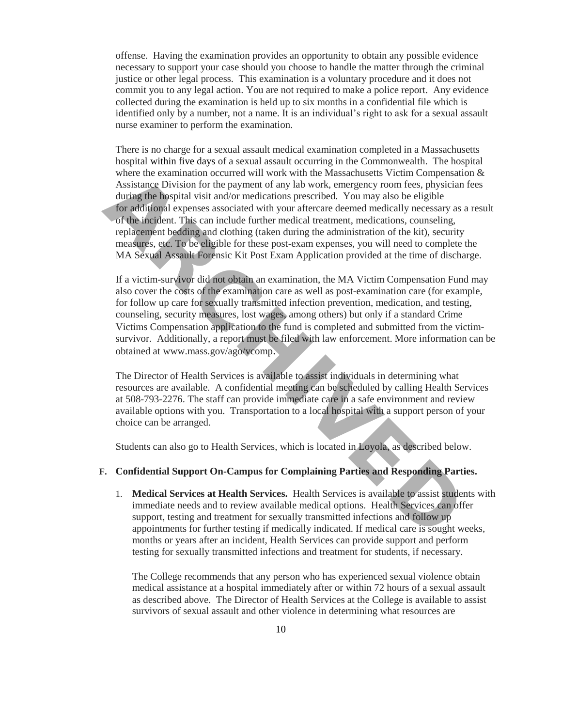offense. Having the examination provides an opportunity to obtain any possible evidence necessary to support your case should you choose to handle the matter through the criminal justice or other legal process. This examination is a voluntary procedure and it does not commit you to any legal action. You are not required to make a police report. Any evidence collected during the examination is held up to six months in a confidential file which is identified only by a number, not a name. It is an individual's right to ask for a sexual assault nurse examiner to perform the examination.

There is no charge for a sexual assault medical examination completed in a Massachusetts hospital within five days of a sexual assault occurring in the Commonwealth. The hospital where the examination occurred will work with the Massachusetts Victim Compensation & Assistance Division for the payment of any lab work, emergency room fees, physician fees during the hospital visit and/or medications prescribed. You may also be eligible for additional expenses associated with your aftercare deemed medically necessary as a result of the incident. This can include further medical treatment, medications, counseling, replacement bedding and clothing (taken during the administration of the kit), security measures, etc. To be eligible for these post-exam expenses, you will need to complete the MA Sexual Assault Forensic Kit Post Exam Application provided at the time of discharge. where the examination occurred with the massachusets vicent thrompeon occurred with the distance Division for the payment of any lab work, emergency room fees, physic<br>during the hospital visit and/or medications prescribed

If a victim-survivor did not obtain an examination, the MA Victim Compensation Fund may also cover the costs of the examination care as well as post-examination care (for example, for follow up care for sexually transmitted infection prevention, medication, and testing, counseling, security measures, lost wages, among others) but only if a standard Crime Victims Compensation application to the fund is completed and submitted from the victimsurvivor. Additionally, a report must be filed with law enforcement. More information can be obtained at www.mass.gov/ago/vcomp.

The Director of Health Services is available to assist individuals in determining what resources are available. A confidential meeting can be scheduled by calling Health Services at 508-793-2276. The staff can provide immediate care in a safe environment and review available options with you. Transportation to a local hospital with a support person of your choice can be arranged.

Students can also go to Health Services, which is located in Loyola, as described below.

# **F. Confidential Support On-Campus for Complaining Parties and Responding Parties.**

1. **Medical Services at Health Services.** Health Services is available to assist students with immediate needs and to review available medical options. Health Services can offer support, testing and treatment for sexually transmitted infections and follow up appointments for further testing if medically indicated. If medical care is sought weeks, months or years after an incident, Health Services can provide support and perform testing for sexually transmitted infections and treatment for students, if necessary.

The College recommends that any person who has experienced sexual violence obtain medical assistance at a hospital immediately after or within 72 hours of a sexual assault as described above. The Director of Health Services at the College is available to assist survivors of sexual assault and other violence in determining what resources are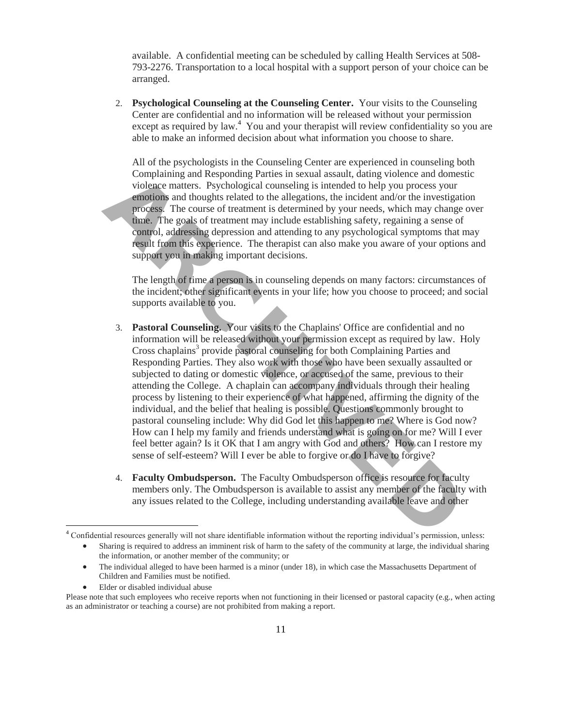available. A confidential meeting can be scheduled by calling Health Services at 508- 793-2276. Transportation to a local hospital with a support person of your choice can be arranged.

2. **Psychological Counseling at the Counseling Center.** Your visits to the Counseling Center are confidential and no information will be released without your permission except as required by law.<sup>4</sup> You and your therapist will review confidentiality so you are able to make an informed decision about what information you choose to share.

All of the psychologists in the Counseling Center are experienced in counseling both Complaining and Responding Parties in sexual assault, dating violence and domestic violence matters. Psychological counseling is intended to help you process your emotions and thoughts related to the allegations, the incident and/or the investigation process. The course of treatment is determined by your needs, which may change over time. The goals of treatment may include establishing safety, regaining a sense of control, addressing depression and attending to any psychological symptoms that may result from this experience. The therapist can also make you aware of your options and support you in making important decisions.

The length of time a person is in counseling depends on many factors: circumstances of the incident; other significant events in your life; how you choose to proceed; and social supports available to you.

- 3. **Pastoral Counseling.** Your visits to the Chaplains' Office are confidential and no information will be released without your permission except as required by law. Holy Cross chaplains<sup>3</sup> provide pastoral counseling for both Complaining Parties and Responding Parties. They also work with those who have been sexually assaulted or subjected to dating or domestic violence, or accused of the same, previous to their attending the College. A chaplain can accompany individuals through their healing process by listening to their experience of what happened, affirming the dignity of the individual, and the belief that healing is possible. Questions commonly brought to pastoral counseling include: Why did God let this happen to me? Where is God now? How can I help my family and friends understand what is going on for me? Will I ever feel better again? Is it OK that I am angry with God and others? How can I restore my sense of self-esteem? Will I ever be able to forgive or do I have to forgive? Complaining and Responding Parties in sexual assault, dainy volonce and domination<br>colonce matters. Psychological counseling is intended to help you process yo<br>equicions and thoughts related to the allegations, the inciden
	- 4. **Faculty Ombudsperson.** The Faculty Ombudsperson office is resource for faculty members only. The Ombudsperson is available to assist any member of the faculty with any issues related to the College, including understanding available leave and other

Elder or disabled individual abuse

l

<sup>&</sup>lt;sup>4</sup> Confidential resources generally will not share identifiable information without the reporting individual's permission, unless:

Sharing is required to address an imminent risk of harm to the safety of the community at large, the individual sharing the information, or another member of the community; or

The individual alleged to have been harmed is a minor (under 18), in which case the Massachusetts Department of Children and Families must be notified.

Please note that such employees who receive reports when not functioning in their licensed or pastoral capacity (e.g., when acting as an administrator or teaching a course) are not prohibited from making a report.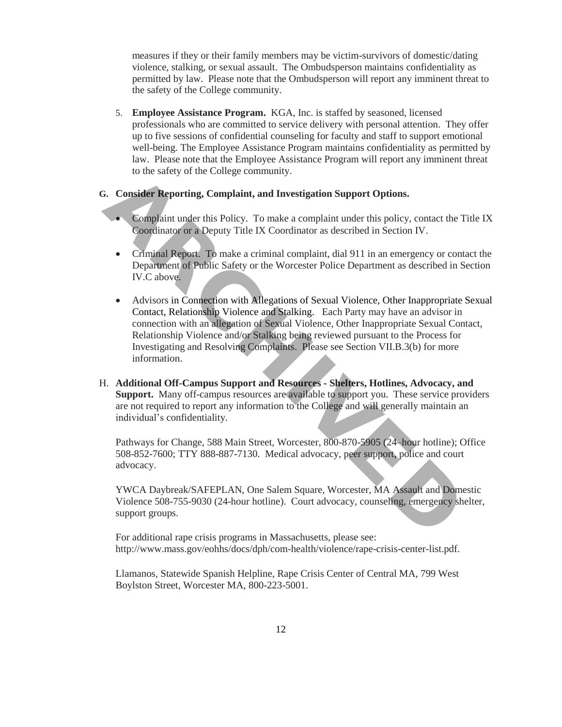measures if they or their family members may be victim-survivors of domestic/dating violence, stalking, or sexual assault. The Ombudsperson maintains confidentiality as permitted by law. Please note that the Ombudsperson will report any imminent threat to the safety of the College community.

5. **Employee Assistance Program.** KGA, Inc. is staffed by seasoned, licensed professionals who are committed to service delivery with personal attention. They offer up to five sessions of confidential counseling for faculty and staff to support emotional well-being. The Employee Assistance Program maintains confidentiality as permitted by law. Please note that the Employee Assistance Program will report any imminent threat to the safety of the College community.

#### **G. Consider Reporting, Complaint, and Investigation Support Options.**

- Complaint under this Policy. To make a complaint under this policy, contact the Title IX Coordinator or a Deputy Title IX Coordinator as described in Section IV.
- Criminal Report. To make a criminal complaint, dial 911 in an emergency or contact the Department of Public Safety or the Worcester Police Department as described in Section IV.C above.
- Advisors in Connection with Allegations of Sexual Violence, Other Inappropriate Sexual Contact, Relationship Violence and Stalking. Each Party may have an advisor in connection with an allegation of Sexual Violence, Other Inappropriate Sexual Contact, Relationship Violence and/or Stalking being reviewed pursuant to the Process for Investigating and Resolving Complaints. Please see Section VII.B.3(b) for more information. Complaint under this Policy. To make a complaint under this policy, contact the complaint under this Policy. To make a complaint under this policy, contact the coordinator or a Deputy Title IX Coordinator as described in S
- H. **Additional Off-Campus Support and Resources - Shelters, Hotlines, Advocacy, and Support.** Many off-campus resources are available to support you. These service providers are not required to report any information to the College and will generally maintain an individual's confidentiality.

Pathways for Change, 588 Main Street, Worcester, 800-870-5905 (24–hour hotline); Office 508-852-7600; TTY 888-887-7130. Medical advocacy, peer support, police and court advocacy.

YWCA Daybreak/SAFEPLAN, One Salem Square, Worcester, MA Assault and Domestic Violence 508-755-9030 (24-hour hotline). Court advocacy, counseling, emergency shelter, support groups.

For additional rape crisis programs in Massachusetts, please see: http://www.mass.gov/eohhs/docs/dph/com-health/violence/rape-crisis-center-list.pdf.

Llamanos, Statewide Spanish Helpline, Rape Crisis Center of Central MA, 799 West Boylston Street, Worcester MA, 800-223-5001.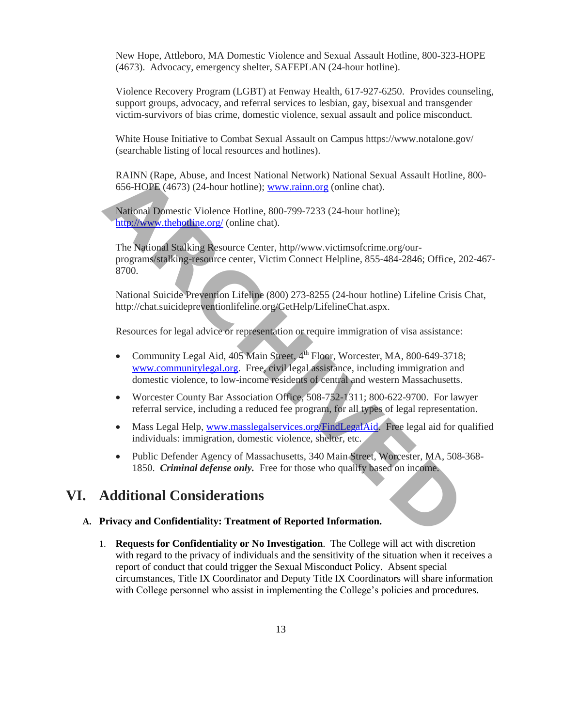New Hope, Attleboro, MA Domestic Violence and Sexual Assault Hotline, 800-323-HOPE (4673). Advocacy, emergency shelter, SAFEPLAN (24-hour hotline).

Violence Recovery Program (LGBT) at Fenway Health, 617-927-6250. Provides counseling, support groups, advocacy, and referral services to lesbian, gay, bisexual and transgender victim-survivors of bias crime, domestic violence, sexual assault and police misconduct.

White House Initiative to Combat Sexual Assault on Campus https://www.notalone.gov/ (searchable listing of local resources and hotlines).

RAINN (Rape, Abuse, and Incest National Network) National Sexual Assault Hotline, 800- 656-HOPE (4673) (24-hour hotline); www.rainn.org (online chat).

National Domestic Violence Hotline, 800-799-7233 (24-hour hotline); http://www.thehotline.org/ (online chat).

The National Stalking Resource Center, http//www.victimsofcrime.org/ourprograms/stalking-resource center, Victim Connect Helpline, 855-484-2846; Office, 202-467- 8700.

National Suicide Prevention Lifeline (800) 273-8255 (24-hour hotline) Lifeline Crisis Chat, http://chat.suicidepreventionlifeline.org/GetHelp/LifelineChat.aspx.

Resources for legal advice or representation or require immigration of visa assistance:

- Community Legal Aid,  $405$  Main Street,  $4<sup>th</sup>$  Floor, Worcester, MA, 800-649-3718; www.communitylegal.org. Free, civil legal assistance, including immigration and domestic violence, to low-income residents of central and western Massachusetts. RAINN (Rape, Abuse, and Incest National Network) National Sexual Assault [H](http://www.communitylegal.org/)otl<br>
656-HOPE (4673) (24-hour hotline); <u>www.rainn.org</u> (online chat).<br> **[AR](http://www.thehotline.org/)AIOME (4673) (24-hour hotline)**; <u>www.rainn.org</u> (online chat).<br> **ARAIOME** 
	- Worcester County Bar Association Office, 508-752-1311; 800-622-9700. For lawyer referral service, including a reduced fee program, for all types of legal representation.
	- Mass Legal Help, www.masslegalservices.org/FindLegalAid. Free legal aid for qualified individuals: immigration, domestic violence, shelter, etc.
	- Public Defender Agency of Massachusetts, 340 Main Street, Worcester, MA, 508-368-1850. *Criminal defense only.* Free for those who qualify based on income.

# **VI. Additional Considerations**

#### **A. Privacy and Confidentiality: Treatment of Reported Information.**

1. **Requests for Confidentiality or No Investigation**. The College will act with discretion with regard to the privacy of individuals and the sensitivity of the situation when it receives a report of conduct that could trigger the Sexual Misconduct Policy. Absent special circumstances, Title IX Coordinator and Deputy Title IX Coordinators will share information with College personnel who assist in implementing the College's policies and procedures.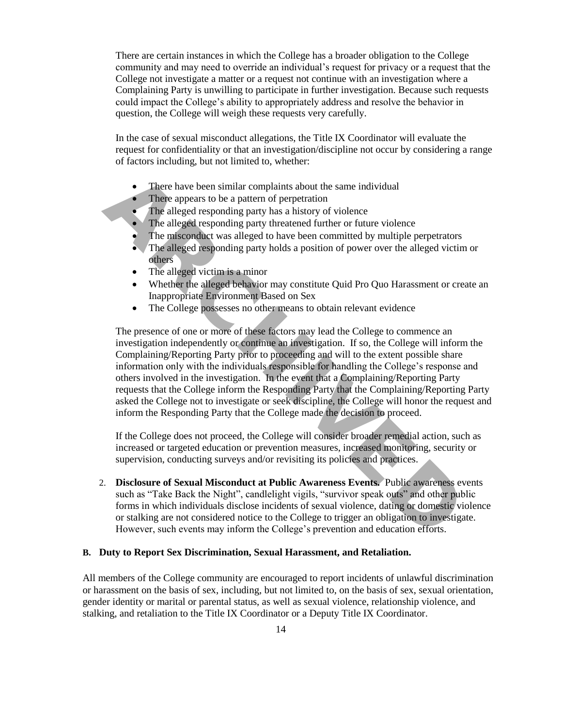There are certain instances in which the College has a broader obligation to the College community and may need to override an individual's request for privacy or a request that the College not investigate a matter or a request not continue with an investigation where a Complaining Party is unwilling to participate in further investigation. Because such requests could impact the College's ability to appropriately address and resolve the behavior in question, the College will weigh these requests very carefully.

In the case of sexual misconduct allegations, the Title IX Coordinator will evaluate the request for confidentiality or that an investigation/discipline not occur by considering a range of factors including, but not limited to, whether:

- There have been similar complaints about the same individual
- There appears to be a pattern of perpetration
- The alleged responding party has a history of violence
- The alleged responding party threatened further or future violence
- The misconduct was alleged to have been committed by multiple perpetrators
- The alleged responding party holds a position of power over the alleged victim or others
- The alleged victim is a minor
- Whether the alleged behavior may constitute Quid Pro Quo Harassment or create an Inappropriate Environment Based on Sex
- The College possesses no other means to obtain relevant evidence

The presence of one or more of these factors may lead the College to commence an investigation independently or continue an investigation. If so, the College will inform the Complaining/Reporting Party prior to proceeding and will to the extent possible share information only with the individuals responsible for handling the College's response and others involved in the investigation. In the event that a Complaining/Reporting Party requests that the College inform the Responding Party that the Complaining/Reporting Party asked the College not to investigate or seek discipline, the College will honor the request and inform the Responding Party that the College made the decision to proceed. • There have been similar complaints about the same individual<br> **ARCHIMENT CONDIMENT THE THE SURVENT THE SURFACT CONDIC THE alleged responding party threatened further or future violence<br>
The alleged responding party threa** 

If the College does not proceed, the College will consider broader remedial action, such as increased or targeted education or prevention measures, increased monitoring, security or supervision, conducting surveys and/or revisiting its policies and practices.

2. **Disclosure of Sexual Misconduct at Public Awareness Events.** Public awareness events such as "Take Back the Night", candlelight vigils, "survivor speak outs" and other public forms in which individuals disclose incidents of sexual violence, dating or domestic violence or stalking are not considered notice to the College to trigger an obligation to investigate. However, such events may inform the College's prevention and education efforts.

### **B. Duty to Report Sex Discrimination, Sexual Harassment, and Retaliation.**

All members of the College community are encouraged to report incidents of unlawful discrimination or harassment on the basis of sex, including, but not limited to, on the basis of sex, sexual orientation, gender identity or marital or parental status, as well as sexual violence, relationship violence, and stalking, and retaliation to the Title IX Coordinator or a Deputy Title IX Coordinator.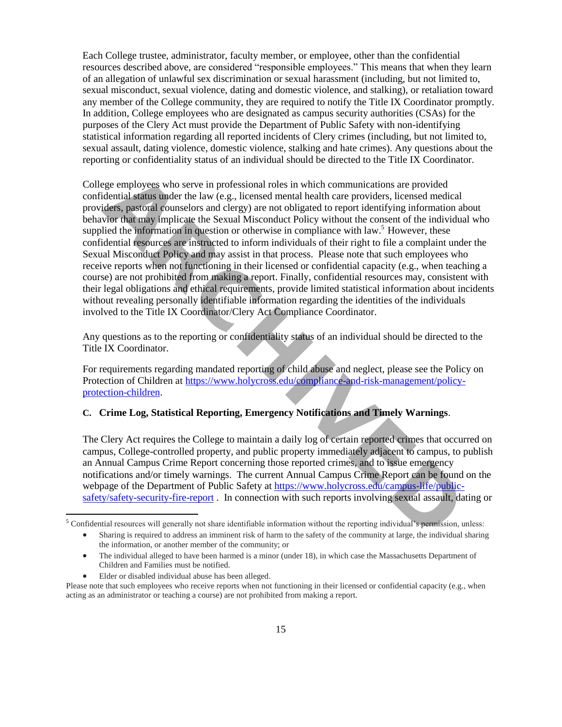Each College trustee, administrator, faculty member, or employee, other than the confidential resources described above, are considered "responsible employees." This means that when they learn of an allegation of unlawful sex discrimination or sexual harassment (including, but not limited to, sexual misconduct, sexual violence, dating and domestic violence, and stalking), or retaliation toward any member of the College community, they are required to notify the Title IX Coordinator promptly. In addition, College employees who are designated as campus security authorities (CSAs) for the purposes of the Clery Act must provide the Department of Public Safety with non-identifying statistical information regarding all reported incidents of Clery crimes (including, but not limited to, sexual assault, dating violence, domestic violence, stalking and hate crimes). Any questions about the reporting or confidentiality status of an individual should be directed to the Title IX Coordinator.

College employees who serve in professional roles in which communications are provided confidential status under the law (e.g., licensed mental health care providers, licensed medical providers, pastoral counselors and clergy) are not obligated to report identifying information about behavior that may implicate the Sexual Misconduct Policy without the consent of the individual who supplied the information in question or otherwise in compliance with law.<sup>5</sup> However, these confidential resources are instructed to inform individuals of their right to file a complaint under the Sexual Misconduct Policy and may assist in that process. Please note that such employees who receive reports when not functioning in their licensed or confidential capacity (e.g., when teaching a course) are not prohibited from making a report. Finally, confidential resources may, consistent with their legal obligations and ethical requirements, provide limited statistical information about incidents without revealing personally identifiable information regarding the identities of the individuals involved to the Title IX Coordinator/Clery Act Compliance Coordinator. ege employees who serve in professional roles in which communications are provided<br>dential status under the law (e.g., licensed mental health care providers, licensed medid<br>vior that may implicate the Sexual Misconduct Pol

Any questions as to the reporting or confidentiality status of an individual should be directed to the Title IX Coordinator.

For requirements regarding mandated reporting of child abuse and neglect, please see the Policy on Protection of Children at https://www.holycross.edu/compliance-and-risk-management/policyprotection-children.

# **C. Crime Log, Statistical Reporting, Emergency Notifications and Timely Warnings**.

The Clery Act requires the College to maintain a daily log of certain reported crimes that occurred on campus, College-controlled property, and public property immediately adjacent to campus, to publish an Annual Campus Crime Report concerning those reported crimes, and to issue emergency notifications and/or timely warnings. The current Annual Campus Crime Report can be found on the webpage of the Department of Public Safety at https://www.holycross.edu/campus-life/publicsafety/safety-security-fire-report . In connection with such reports involving sexual assault, dating or

- The individual alleged to have been harmed is a minor (under 18), in which case the Massachusetts Department of Children and Families must be notified.
- Elder or disabled individual abuse has been alleged.

 $\overline{\phantom{a}}$ 

<sup>5</sup> Confidential resources will generally not share identifiable information without the reporting individual's permission, unless:

Sharing is required to address an imminent risk of harm to the safety of the community at large, the individual sharing the information, or another member of the community; or

Please note that such employees who receive reports when not functioning in their licensed or confidential capacity (e.g., when acting as an administrator or teaching a course) are not prohibited from making a report.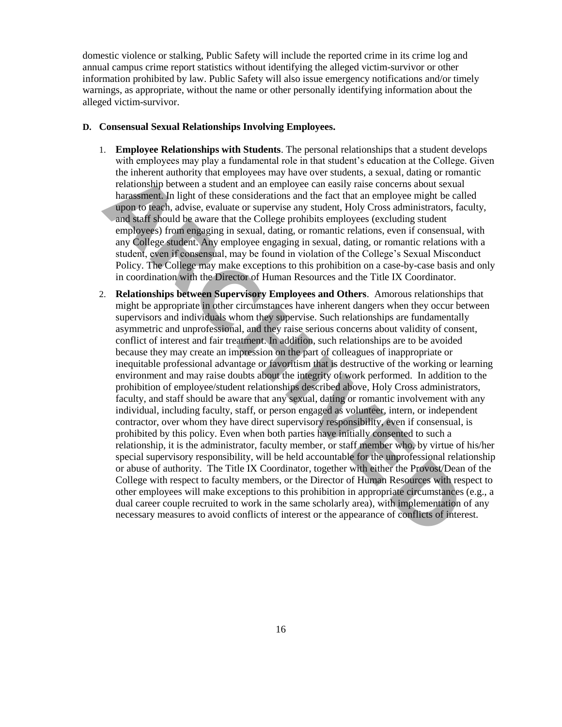domestic violence or stalking, Public Safety will include the reported crime in its crime log and annual campus crime report statistics without identifying the alleged victim-survivor or other information prohibited by law. Public Safety will also issue emergency notifications and/or timely warnings, as appropriate, without the name or other personally identifying information about the alleged victim-survivor.

### **D. Consensual Sexual Relationships Involving Employees.**

- 1. **Employee Relationships with Students**. The personal relationships that a student develops with employees may play a fundamental role in that student's education at the College. Given the inherent authority that employees may have over students, a sexual, dating or romantic relationship between a student and an employee can easily raise concerns about sexual harassment. In light of these considerations and the fact that an employee might be called upon to teach, advise, evaluate or supervise any student, Holy Cross administrators, faculty,
- and staff should be aware that the College prohibits employees (excluding student employees) from engaging in sexual, dating, or romantic relations, even if consensual, with any College student. Any employee engaging in sexual, dating, or romantic relations with a student, even if consensual, may be found in violation of the College's Sexual Misconduct Policy. The College may make exceptions to this prohibition on a case-by-case basis and only in coordination with the Director of Human Resources and the Title IX Coordinator.
- 2. **Relationships between Supervisory Employees and Others**. Amorous relationships that might be appropriate in other circumstances have inherent dangers when they occur between supervisors and individuals whom they supervise. Such relationships are fundamentally asymmetric and unprofessional, and they raise serious concerns about validity of consent, conflict of interest and fair treatment. In addition, such relationships are to be avoided because they may create an impression on the part of colleagues of inappropriate or inequitable professional advantage or favoritism that is destructive of the working or learning environment and may raise doubts about the integrity of work performed. In addition to the prohibition of employee/student relationships described above, Holy Cross administrators, faculty, and staff should be aware that any sexual, dating or romantic involvement with any individual, including faculty, staff, or person engaged as volunteer, intern, or independent contractor, over whom they have direct supervisory responsibility, even if consensual, is prohibited by this policy. Even when both parties have initially consented to such a relationship, it is the administrator, faculty member, or staff member who, by virtue of his/her special supervisory responsibility, will be held accountable for the unprofessional relationship or abuse of authority. The Title IX Coordinator, together with either the Provost/Dean of the College with respect to faculty members, or the Director of Human Resources with respect to other employees will make exceptions to this prohibition in appropriate circumstances (e.g., a dual career couple recruited to work in the same scholarly area), with implementation of any necessary measures to avoid conflicts of interest or the appearance of conflicts of interest. the internal tuttority that employees may have over student, a secular, daning or relationship between a student and memploye can easily raise concerns about sex pharmas ment. In light of these considerations and the fact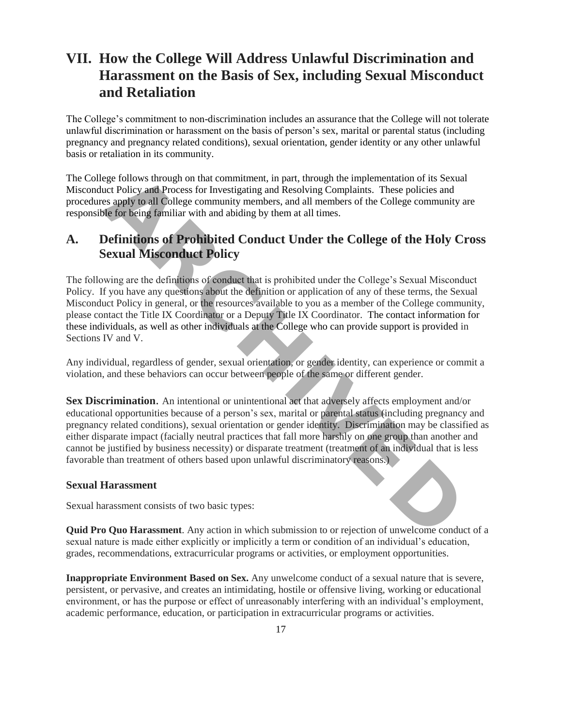# **VII. How the College Will Address Unlawful Discrimination and Harassment on the Basis of Sex, including Sexual Misconduct and Retaliation**

The College's commitment to non-discrimination includes an assurance that the College will not tolerate unlawful discrimination or harassment on the basis of person's sex, marital or parental status (including pregnancy and pregnancy related conditions), sexual orientation, gender identity or any other unlawful basis or retaliation in its community.

The College follows through on that commitment, in part, through the implementation of its Sexual Misconduct Policy and Process for Investigating and Resolving Complaints. These policies and procedures apply to all College community members, and all members of the College community are responsible for being familiar with and abiding by them at all times.

# **A. Definitions of Prohibited Conduct Under the College of the Holy Cross Sexual Misconduct Policy**

The following are the definitions of conduct that is prohibited under the College's Sexual Misconduct Policy. If you have any questions about the definition or application of any of these terms, the Sexual Misconduct Policy in general, or the resources available to you as a member of the College community, please contact the Title IX Coordinator or a Deputy Title IX Coordinator. [The contact information for](http://www.holycross.edu/sexual-respect-and-title-ix/overview)  these individuals, as well as other individuals at the College who can provide support is provided in Sections IV and V.

Any individual, regardless of gender, sexual orientation, or gender identity, can experience or commit a violation, and these behaviors can occur between people of the same or different gender.

**Sex Discrimination**. An intentional or unintentional act that adversely affects employment and/or educational opportunities because of a person's sex, marital or parental status (including pregnancy and pregnancy related conditions), sexual orientation or gender identity. Discrimination may be classified as either disparate impact (facially neutral practices that fall more harshly on one group than another and cannot be justified by business necessity) or disparate treatment (treatment of an individual that is less favorable than treatment of others based upon unlawful discriminatory reasons.) rege follows through on that commitment, in part, through the implementation of its Secure Policy and Process for Investigating and Resolving Complisins. These policies and exploited and Revolving complisions. These polici

# **Sexual Harassment**

Sexual harassment consists of two basic types:

**Quid Pro Quo Harassment**. Any action in which submission to or rejection of unwelcome conduct of a sexual nature is made either explicitly or implicitly a term or condition of an individual's education, grades, recommendations, extracurricular programs or activities, or employment opportunities.

**Inappropriate Environment Based on Sex.** Any unwelcome conduct of a sexual nature that is severe, persistent, or pervasive, and creates an intimidating, hostile or offensive living, working or educational environment, or has the purpose or effect of unreasonably interfering with an individual's employment, academic performance, education, or participation in extracurricular programs or activities.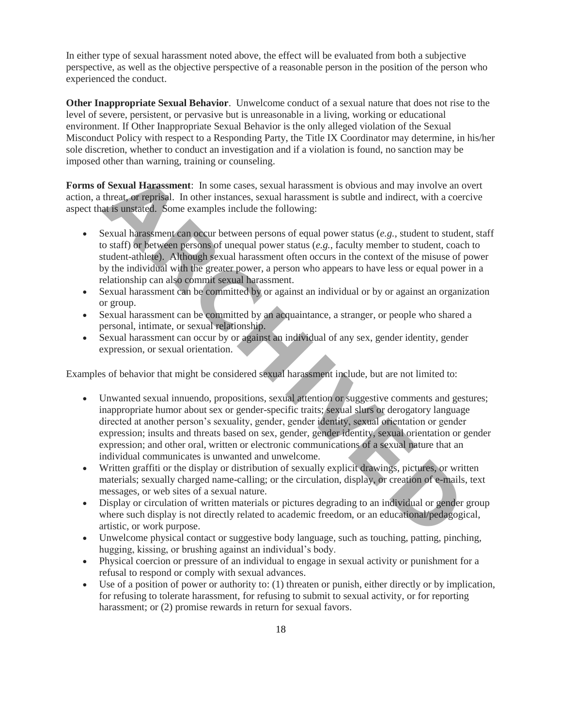In either type of sexual harassment noted above, the effect will be evaluated from both a subjective perspective, as well as the objective perspective of a reasonable person in the position of the person who experienced the conduct.

**Other Inappropriate Sexual Behavior**. Unwelcome conduct of a sexual nature that does not rise to the level of severe, persistent, or pervasive but is unreasonable in a living, working or educational environment. If Other Inappropriate Sexual Behavior is the only alleged violation of the Sexual Misconduct Policy with respect to a Responding Party, the Title IX Coordinator may determine, in his/her sole discretion, whether to conduct an investigation and if a violation is found, no sanction may be imposed other than warning, training or counseling.

**Forms of Sexual Harassment**: In some cases, sexual harassment is obvious and may involve an overt action, a threat, or reprisal. In other instances, sexual harassment is subtle and indirect, with a coercive aspect that is unstated. Some examples include the following:

- Sexual harassment can occur between persons of equal power status (*e.g.*, student to student, staff to staff) or between persons of unequal power status (*e.g.*, faculty member to student, coach to student-athlete). Although sexual harassment often occurs in the context of the misuse of power by the individual with the greater power, a person who appears to have less or equal power in a relationship can also commit sexual harassment.
- Sexual harassment can be committed by or against an individual or by or against an organization or group.
- Sexual harassment can be committed by an acquaintance, a stranger, or people who shared a personal, intimate, or sexual relationship.
- Sexual harassment can occur by or against an individual of any sex, gender identity, gender expression, or sexual orientation.

Examples of behavior that might be considered sexual harassment include, but are not limited to:

- Unwanted sexual innuendo, propositions, sexual attention or suggestive comments and gestures; inappropriate humor about sex or gender-specific traits; sexual slurs or derogatory language directed at another person's sexuality, gender, gender identity, sexual orientation or gender expression; insults and threats based on sex, gender, gender identity, sexual orientation or gender expression; and other oral, written or electronic communications of a sexual nature that an individual communicates is unwanted and unwelcome. **f Sexual Harassment:** In some cases, sexual harassment is obvious and may involve threat, or reprisal. In other instances, sexual harassment is subtle and indirect, with a at is unistated. Some examples include the follow
- Written graffiti or the display or distribution of sexually explicit drawings, pictures, or written materials; sexually charged name-calling; or the circulation, display, or creation of e-mails, text messages, or web sites of a sexual nature.
- Display or circulation of written materials or pictures degrading to an individual or gender group where such display is not directly related to academic freedom, or an educational/pedagogical, artistic, or work purpose.
- Unwelcome physical contact or suggestive body language, such as touching, patting, pinching, hugging, kissing, or brushing against an individual's body.
- Physical coercion or pressure of an individual to engage in sexual activity or punishment for a refusal to respond or comply with sexual advances.
- Use of a position of power or authority to: (1) threaten or punish, either directly or by implication, for refusing to tolerate harassment, for refusing to submit to sexual activity, or for reporting harassment; or  $(2)$  promise rewards in return for sexual favors.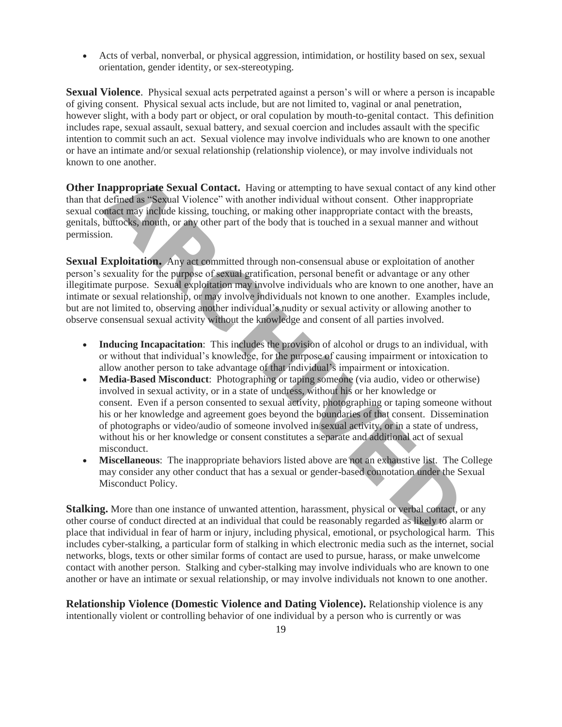Acts of verbal, nonverbal, or physical aggression, intimidation, or hostility based on sex, sexual orientation, gender identity, or sex-stereotyping.

**Sexual Violence**. Physical sexual acts perpetrated against a person's will or where a person is incapable of giving consent. Physical sexual acts include, but are not limited to, vaginal or anal penetration, however slight, with a body part or object, or oral copulation by mouth-to-genital contact. This definition includes rape, sexual assault, sexual battery, and sexual coercion and includes assault with the specific intention to commit such an act. Sexual violence may involve individuals who are known to one another or have an intimate and/or sexual relationship (relationship violence), or may involve individuals not known to one another.

**Other Inappropriate Sexual Contact.** Having or attempting to have sexual contact of any kind other than that defined as "Sexual Violence" with another individual without consent. Other inappropriate sexual contact may include kissing, touching, or making other inappropriate contact with the breasts, genitals, buttocks, mouth, or any other part of the body that is touched in a sexual manner and without permission.

**Sexual Exploitation.** Any act committed through non-consensual abuse or exploitation of another person's sexuality for the purpose of sexual gratification, personal benefit or advantage or any other illegitimate purpose. Sexual exploitation may involve individuals who are known to one another, have an intimate or sexual relationship, or may involve individuals not known to one another. Examples include, but are not limited to, observing another individual's nudity or sexual activity or allowing another to observe consensual sexual activity without the knowledge and consent of all parties involved.

- **Inducing Incapacitation**: This includes the provision of alcohol or drugs to an individual, with or without that individual's knowledge, for the purpose of causing impairment or intoxication to allow another person to take advantage of that individual's impairment or intoxication.
- **Media-Based Misconduct**: Photographing or taping someone (via audio, video or otherwise) involved in sexual activity, or in a state of undress, without his or her knowledge or consent. Even if a person consented to sexual activity, photographing or taping someone without his or her knowledge and agreement goes beyond the boundaries of that consent. Dissemination of photographs or video/audio of someone involved in sexual activity, or in a state of undress, without his or her knowledge or consent constitutes a separate and additional act of sexual misconduct. **nappropriate Sexual Contact.** Having or attempting to have sexual contact of any defined as "Sexual Violence" with another individual without consent. Other inappropriate may include kissing, touching, or making other ina
- **Miscellaneous**: The inappropriate behaviors listed above are not an exhaustive list. The College may consider any other conduct that has a sexual or gender-based connotation under the Sexual Misconduct Policy.

**Stalking.** More than one instance of unwanted attention, harassment, physical or verbal contact, or any other course of conduct directed at an individual that could be reasonably regarded as likely to alarm or place that individual in fear of harm or injury, including physical, emotional, or psychological harm. This includes cyber-stalking, a particular form of stalking in which electronic media such as the internet, social networks, blogs, texts or other similar forms of contact are used to pursue, harass, or make unwelcome contact with another person. Stalking and cyber-stalking may involve individuals who are known to one another or have an intimate or sexual relationship, or may involve individuals not known to one another.

**Relationship Violence (Domestic Violence and Dating Violence).** Relationship violence is any intentionally violent or controlling behavior of one individual by a person who is currently or was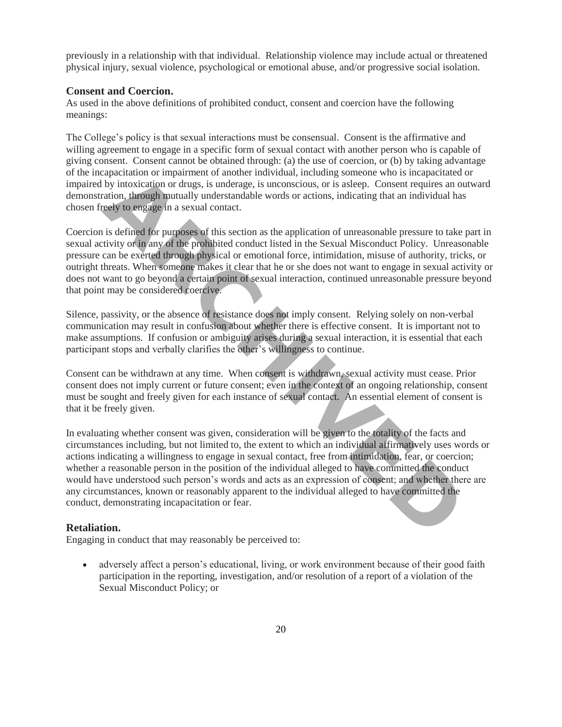previously in a relationship with that individual. Relationship violence may include actual or threatened physical injury, sexual violence, psychological or emotional abuse, and/or progressive social isolation.

### **Consent and Coercion.**

As used in the above definitions of prohibited conduct, consent and coercion have the following meanings:

The College's policy is that sexual interactions must be consensual. Consent is the affirmative and willing agreement to engage in a specific form of sexual contact with another person who is capable of giving consent. Consent cannot be obtained through: (a) the use of coercion, or (b) by taking advantage of the incapacitation or impairment of another individual, including someone who is incapacitated or impaired by intoxication or drugs, is underage, is unconscious, or is asleep. Consent requires an outward demonstration, through mutually understandable words or actions, indicating that an individual has chosen freely to engage in a sexual contact.

Coercion is defined for purposes of this section as the application of unreasonable pressure to take part in sexual activity or in any of the prohibited conduct listed in the Sexual Misconduct Policy. Unreasonable pressure can be exerted through physical or emotional force, intimidation, misuse of authority, tricks, or outright threats. When someone makes it clear that he or she does not want to engage in sexual activity or does not want to go beyond a certain point of sexual interaction, continued unreasonable pressure beyond that point may be considered coercive.

Silence, passivity, or the absence of resistance does not imply consent. Relying solely on non-verbal communication may result in confusion about whether there is effective consent. It is important not to make assumptions. If confusion or ambiguity arises during a sexual interaction, it is essential that each participant stops and verbally clarifies the other's willingness to continue.

Consent can be withdrawn at any time. When consent is withdrawn, sexual activity must cease. Prior consent does not imply current or future consent; even in the context of an ongoing relationship, consent must be sought and freely given for each instance of sexual contact. An essential element of consent is that it be freely given.

In evaluating whether consent was given, consideration will be given to the totality of the facts and circumstances including, but not limited to, the extent to which an individual affirmatively uses words or actions indicating a willingness to engage in sexual contact, free from intimidation, fear, or coercion; whether a reasonable person in the position of the individual alleged to have committed the conduct would have understood such person's words and acts as an expression of consent; and whether there are any circumstances, known or reasonably apparent to the individual alleged to have committed the conduct, demonstrating incapacitation or fear. repactation or imparment or another intuivatial, including someone who is incepacitation, through mutually understandable words or actions, or is asleep. Consent requires a<br>ration, through mutually understandable words or

### **Retaliation.**

Engaging in conduct that may reasonably be perceived to:

 adversely affect a person's educational, living, or work environment because of their good faith participation in the reporting, investigation, and/or resolution of a report of a violation of the Sexual Misconduct Policy; or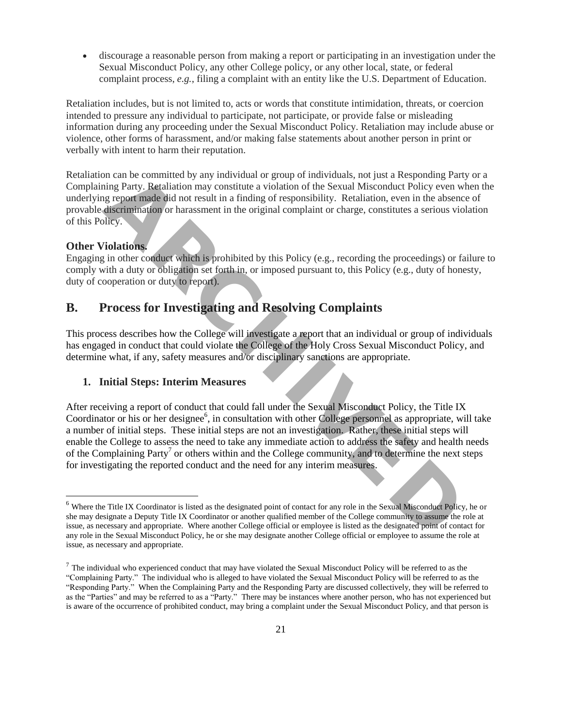discourage a reasonable person from making a report or participating in an investigation under the Sexual Misconduct Policy, any other College policy, or any other local, state, or federal complaint process, *e.g.*, filing a complaint with an entity like the U.S. Department of Education.

Retaliation includes, but is not limited to, acts or words that constitute intimidation, threats, or coercion intended to pressure any individual to participate, not participate, or provide false or misleading information during any proceeding under the Sexual Misconduct Policy. Retaliation may include abuse or violence, other forms of harassment, and/or making false statements about another person in print or verbally with intent to harm their reputation.

Retaliation can be committed by any individual or group of individuals, not just a Responding Party or a Complaining Party. Retaliation may constitute a violation of the Sexual Misconduct Policy even when the underlying report made did not result in a finding of responsibility. Retaliation, even in the absence of provable discrimination or harassment in the original complaint or charge, constitutes a serious violation of this Policy.

# **Other Violations.**

 $\overline{\phantom{a}}$ 

Engaging in other conduct which is prohibited by this Policy (e.g., recording the proceedings) or failure to comply with a duty or obligation set forth in, or imposed pursuant to, this Policy (e.g., duty of honesty, duty of cooperation or duty to report).

# **B. Process for Investigating and Resolving Complaints**

This process describes how the College will investigate a report that an individual or group of individuals has engaged in conduct that could violate the College of the Holy Cross [Sexual Misconduct Policy,](http://www.holycross.edu/sexual-respect-and-title-ix/overview) and determine what, if any, safety measures and/or disciplinary sanctions are appropriate.

# **1. Initial Steps: Interim Measures**

After receiving a report of conduct that could fall under the Sexual Misconduct Policy, the Title IX Coordinator or his or her designee<sup>6</sup>, in consultation with other College personnel as appropriate, will take a number of initial steps. These initial steps are not an investigation. Rather, these initial steps will enable the College to assess the need to take any immediate action to address the safety and health needs of the Complaining Party<sup>7</sup> or others within and the College community, and to determine the next steps for investigating the reported conduct and the need for any interim measures. on can be committed by any individual or group of individuals, not is at a Responding<br>Ining Party. Retaliation may constitute a violation of the Sexual Misconduct Policy eve<br>are greport made did not result in a finding of

 $<sup>6</sup>$  Where the Title IX Coordinator is listed as the designated point of contact for any role in the Sexual Misconduct Policy, he or</sup> she may designate a Deputy Title IX Coordinator or another qualified member of the College community to assume the role at issue, as necessary and appropriate. Where another College official or employee is listed as the designated point of contact for any role in the Sexual Misconduct Policy, he or she may designate another College official or employee to assume the role at issue, as necessary and appropriate.

 $<sup>7</sup>$  The individual who experienced conduct that may have violated the Sexual Misconduct Policy will be referred to as the</sup> "Complaining Party." The individual who is alleged to have violated the Sexual Misconduct Policy will be referred to as the "Responding Party." When the Complaining Party and the Responding Party are discussed collectively, they will be referred to as the "Parties" and may be referred to as a "Party." There may be instances where another person, who has not experienced but is aware of the occurrence of prohibited conduct, may bring a complaint under the Sexual Misconduct Policy, and that person is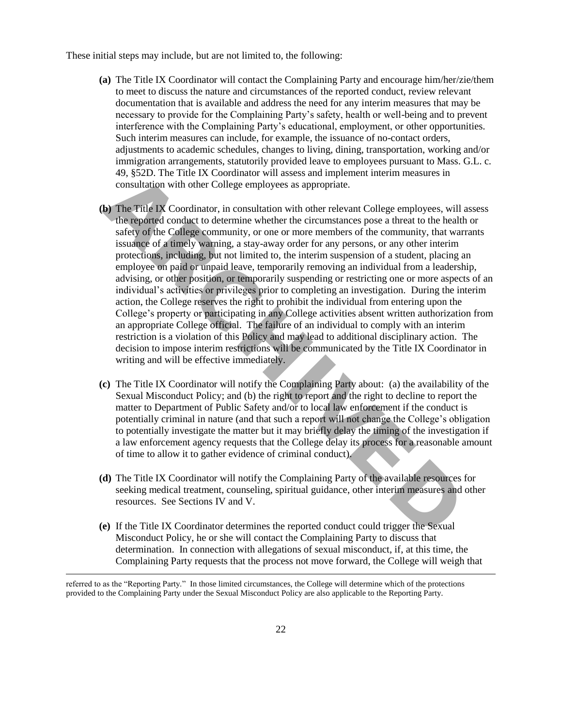These initial steps may include, but are not limited to, the following:

- **(a)** The Title IX Coordinator will contact the Complaining Party and encourage him/her/zie/them to meet to discuss the nature and circumstances of the reported conduct, review relevant documentation that is available and address the need for any interim measures that may be necessary to provide for the Complaining Party's safety, health or well-being and to prevent interference with the Complaining Party's educational, employment, or other opportunities. Such interim measures can include, for example, the issuance of no-contact orders, adjustments to academic schedules, changes to living, dining, transportation, working and/or immigration arrangements, statutorily provided leave to employees pursuant to Mass. G.L. c. 49, §52D. The Title IX Coordinator will assess and implement interim measures in consultation with other College employees as appropriate.
- **(b)** The Title IX Coordinator, in consultation with other relevant College employees, will assess the reported conduct to determine whether the circumstances pose a threat to the health or safety of the College community, or one or more members of the community, that warrants issuance of a timely warning, a stay-away order for any persons, or any other interim protections, including, but not limited to, the interim suspension of a student, placing an employee on paid or unpaid leave, temporarily removing an individual from a leadership, advising, or other position, or temporarily suspending or restricting one or more aspects of an individual's activities or privileges prior to completing an investigation. During the interim action, the College reserves the right to prohibit the individual from entering upon the College's property or participating in any College activities absent written authorization from an appropriate College official. The failure of an individual to comply with an interim restriction is a violation of this Policy and may lead to additional disciplinary action. The decision to impose interim restrictions will be communicated by the Title IX Coordinator in writing and will be effective immediately. 49, \$252). The THIE IX Coordinator will assess and implement internin measures in<br>
sonsultation with other College employees as appropriate.<br> **b** The Trile IX Coordinator, in consultation with other relevant College employ
- **(c)** The Title IX Coordinator will notify the Complaining Party about: (a) the availability of the Sexual Misconduct Policy; and (b) the right to report and the right to decline to report the matter to Department of Public Safety and/or to local law enforcement if the conduct is potentially criminal in nature (and that such a report will not change the College's obligation to potentially investigate the matter but it may briefly delay the timing of the investigation if a law enforcement agency requests that the College delay its process for a reasonable amount of time to allow it to gather evidence of criminal conduct).
- **(d)** The Title IX Coordinator will notify the Complaining Party of the available resources for seeking medical treatment, counseling, spiritual guidance, other interim measures and other resources. See Sections IV and V.
- **(e)** If the Title IX Coordinator determines the reported conduct could trigger the Sexual Misconduct Policy, he or she will contact the Complaining Party to discuss that determination. In connection with allegations of sexual misconduct, if, at this time, the Complaining Party requests that the process not move forward, the College will weigh that

referred to as the "Reporting Party." In those limited circumstances, the College will determine which of the protections provided to the Complaining Party under the Sexual Misconduct Policy are also applicable to the Reporting Party.

 $\overline{\phantom{a}}$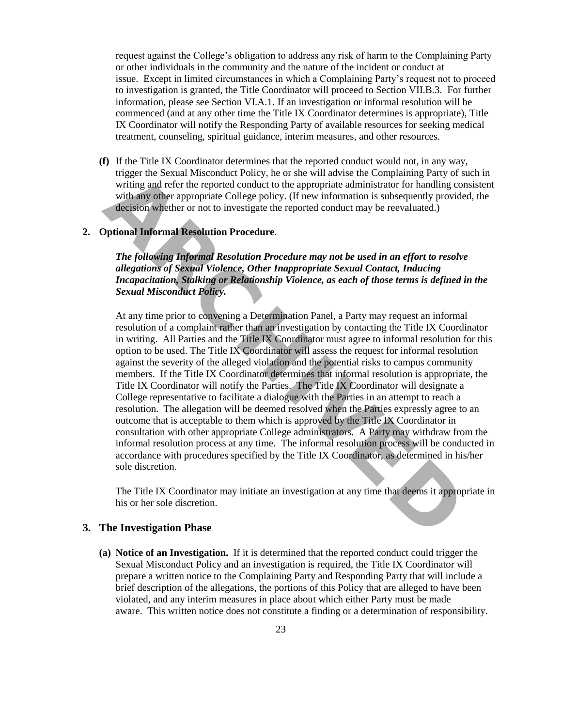request against the College's obligation to address any risk of harm to the Complaining Party or other individuals in the community and the nature of the incident or conduct at issue. Except in limited circumstances in which a Complaining Party's request not to proceed to investigation is granted, the Title Coordinator will proceed to Section VII.B.3. For further information, please see Section VI.A.1. If an investigation or informal resolution will be commenced (and at any other time the Title IX Coordinator determines is appropriate), Title IX Coordinator will notify the Responding Party of available resources for seeking medical treatment, counseling, spiritual guidance, interim measures, and other resources.

**(f)** If the Title IX Coordinator determines that the reported conduct would not, in any way, trigger the Sexual Misconduct Policy, he or she will advise the Complaining Party of such in writing and refer the reported conduct to the appropriate administrator for handling consistent with any other appropriate College policy. (If new information is subsequently provided, the decision whether or not to investigate the reported conduct may be reevaluated.)

# **2. Optional Informal Resolution Procedure**.

*The following Informal Resolution Procedure may not be used in an effort to resolve allegations of Sexual Violence, Other Inappropriate Sexual Contact, Inducing Incapacitation, Stalking or Relationship Violence, as each of those terms is defined in the Sexual Misconduct Policy.* 

At any time prior to convening a Determination Panel, a Party may request an informal resolution of a complaint rather than an investigation by contacting the Title IX Coordinator in writing. All Parties and the Title IX Coordinator must agree to informal resolution for this option to be used. The Title IX Coordinator will assess the request for informal resolution against the severity of the alleged violation and the potential risks to campus community members. If the Title IX Coordinator determines that informal resolution is appropriate, the Title IX Coordinator will notify the Parties. The Title IX Coordinator will designate a College representative to facilitate a dialogue with the Parties in an attempt to reach a resolution. The allegation will be deemed resolved when the Parties expressly agree to an outcome that is acceptable to them which is approved by the Title IX Coordinator in consultation with other appropriate College administrators. A Party may withdraw from the informal resolution process at any time. The informal resolution process will be conducted in accordance with procedures specified by the Title IX Coordinator, as determined in his/her sole discretion. trager the Sexual Misconduct Poice, he or she will advise the Complaining Party<br>writing and refer the reported conduct to the appropriate administrator for handling<br>with any other appropriate College policy. (If new inform

The Title IX Coordinator may initiate an investigation at any time that deems it appropriate in his or her sole discretion.

### **3. The Investigation Phase**

**(a) Notice of an Investigation.** If it is determined that the reported conduct could trigger the Sexual Misconduct Policy and an investigation is required, the Title IX Coordinator will prepare a written notice to the Complaining Party and Responding Party that will include a brief description of the allegations, the portions of this Policy that are alleged to have been violated, and any interim measures in place about which either Party must be made aware. This written notice does not constitute a finding or a determination of responsibility.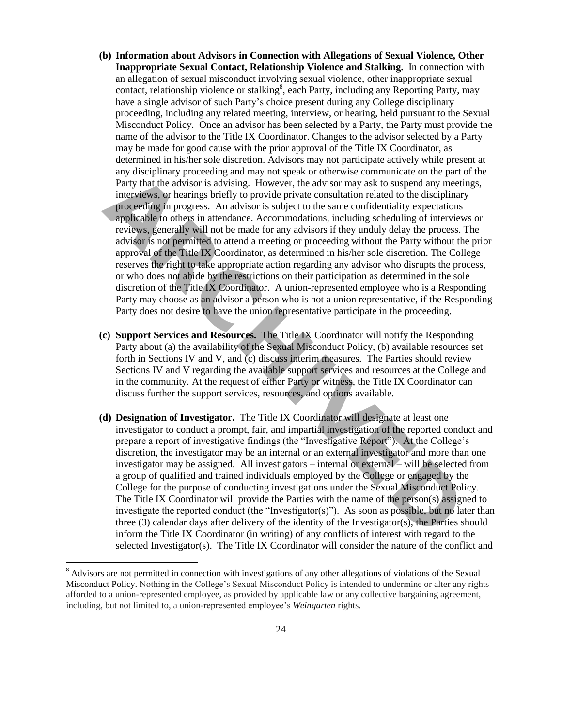- **(b) Information about Advisors in Connection with Allegations of Sexual Violence, Other Inappropriate Sexual Contact, Relationship Violence and Stalking.** In connection with an allegation of sexual misconduct involving sexual violence, other inappropriate sexual contact, relationship violence or stalking<sup>8</sup>, each Party, including any Reporting Party, may have a single advisor of such Party's choice present during any College disciplinary proceeding, including any related meeting, interview, or hearing, held pursuant to the Sexual Misconduct Policy. Once an advisor has been selected by a Party, the Party must provide the name of the advisor to the Title IX Coordinator. Changes to the advisor selected by a Party may be made for good cause with the prior approval of the Title IX Coordinator, as determined in his/her sole discretion. Advisors may not participate actively while present at any disciplinary proceeding and may not speak or otherwise communicate on the part of the Party that the advisor is advising. However, the advisor may ask to suspend any meetings, interviews, or hearings briefly to provide private consultation related to the disciplinary proceeding in progress. An advisor is subject to the same confidentiality expectations applicable to others in attendance. Accommodations, including scheduling of interviews or reviews, generally will not be made for any advisors if they unduly delay the process. The advisor is not permitted to attend a meeting or proceeding without the Party without the prior approval of the Title IX Coordinator, as determined in his/her sole discretion. The College reserves the right to take appropriate action regarding any advisor who disrupts the process, or who does not abide by the restrictions on their participation as determined in the sole discretion of the Title IX Coordinator. A union-represented employee who is a Responding Party may choose as an advisor a person who is not a union representative, if the Responding Party does not desire to have the union representative participate in the proceeding. any useptimary proceeding and may hot speak or otherwise colume that control and y and y and y and y and y and y and y and y and y and y interviews, or hearing briefly to provide private consultation related to the discipl
- **(c) Support Services and Resources.** The Title IX Coordinator will notify the Responding Party about (a) the availability of the Sexual Misconduct Policy, (b) available resources set forth in Sections IV and V, and (c) discuss interim measures. The Parties should review Sections IV and V regarding the available support services and resources at the College and in the community. At the request of either Party or witness, the Title IX Coordinator can discuss further the support services, resources, and options available.
- **(d) Designation of Investigator.** The Title IX Coordinator will designate at least one investigator to conduct a prompt, fair, and impartial investigation of the reported conduct and prepare a report of investigative findings (the "Investigative Report"). At the College's discretion, the investigator may be an internal or an external investigator and more than one investigator may be assigned. All investigators – internal or external – will be selected from a group of qualified and trained individuals employed by the College or engaged by the College for the purpose of conducting investigations under the Sexual Misconduct Policy. The Title IX Coordinator will provide the Parties with the name of the person(s) assigned to investigate the reported conduct (the "Investigator(s)"). As soon as possible, but no later than three (3) calendar days after delivery of the identity of the Investigator(s), the Parties should inform the Title IX Coordinator (in writing) of any conflicts of interest with regard to the selected Investigator(s). The Title IX Coordinator will consider the nature of the conflict and

 $\overline{\phantom{a}}$ 

<sup>&</sup>lt;sup>8</sup> Advisors are not permitted in connection with investigations of any other allegations of violations of the Sexual Misconduct Policy. Nothing in the College's Sexual Misconduct Policy is intended to undermine or alter any rights afforded to a union-represented employee, as provided by applicable law or any collective bargaining agreement, including, but not limited to, a union-represented employee's *Weingarten* rights.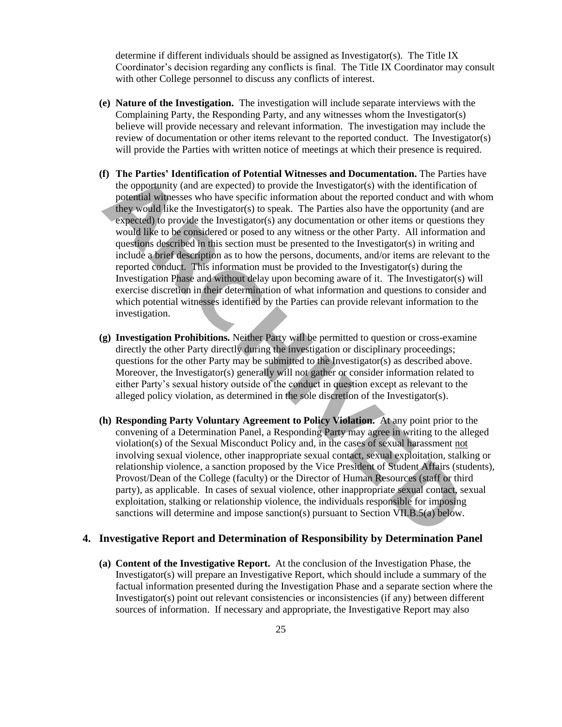determine if different individuals should be assigned as Investigator(s). The Title IX Coordinator's decision regarding any conflicts is final. The Title IX Coordinator may consult with other College personnel to discuss any conflicts of interest.

- **(e) Nature of the Investigation.** The investigation will include separate interviews with the Complaining Party, the Responding Party, and any witnesses whom the Investigator(s) believe will provide necessary and relevant information. The investigation may include the review of documentation or other items relevant to the reported conduct. The Investigator(s) will provide the Parties with written notice of meetings at which their presence is required.
- **(f) The Parties' Identification of Potential Witnesses and Documentation.** The Parties have the opportunity (and are expected) to provide the Investigator(s) with the identification of potential witnesses who have specific information about the reported conduct and with whom they would like the Investigator(s) to speak. The Parties also have the opportunity (and are expected) to provide the Investigator(s) any documentation or other items or questions they would like to be considered or posed to any witness or the other Party. All information and questions described in this section must be presented to the Investigator(s) in writing and include a brief description as to how the persons, documents, and/or items are relevant to the reported conduct. This information must be provided to the Investigator(s) during the Investigation Phase and without delay upon becoming aware of it. The Investigator(s) will exercise discretion in their determination of what information and questions to consider and which potential witnesses identified by the Parties can provide relevant information to the investigation. **The Parties' Identification of Potential Witnesses and Documentation. The Partiest Potential Witnesses who have specific information about the reported conduct and they would like the Investigator(s) with the identificati**
- **(g) Investigation Prohibitions.** Neither Party will be permitted to question or cross-examine directly the other Party directly during the investigation or disciplinary proceedings; questions for the other Party may be submitted to the Investigator(s) as described above. Moreover, the Investigator(s) generally will not gather or consider information related to either Party's sexual history outside of the conduct in question except as relevant to the alleged policy violation, as determined in the sole discretion of the Investigator(s).
- **(h) Responding Party Voluntary Agreement to Policy Violation.** At any point prior to the convening of a Determination Panel, a Responding Party may agree in writing to the alleged violation(s) of the Sexual Misconduct Policy and, in the cases of sexual harassment not involving sexual violence, other inappropriate sexual contact, sexual exploitation, stalking or relationship violence, a sanction proposed by the Vice President of Student Affairs (students), Provost/Dean of the College (faculty) or the Director of Human Resources (staff or third party), as applicable. In cases of sexual violence, other inappropriate sexual contact, sexual exploitation, stalking or relationship violence, the individuals responsible for imposing sanctions will determine and impose sanction(s) pursuant to Section VII.B.5(a) below.

### **4. Investigative Report and Determination of Responsibility by Determination Panel**

**(a) Content of the Investigative Report.** At the conclusion of the Investigation Phase, the Investigator(s) will prepare an Investigative Report, which should include a summary of the factual information presented during the Investigation Phase and a separate section where the Investigator(s) point out relevant consistencies or inconsistencies (if any) between different sources of information. If necessary and appropriate, the Investigative Report may also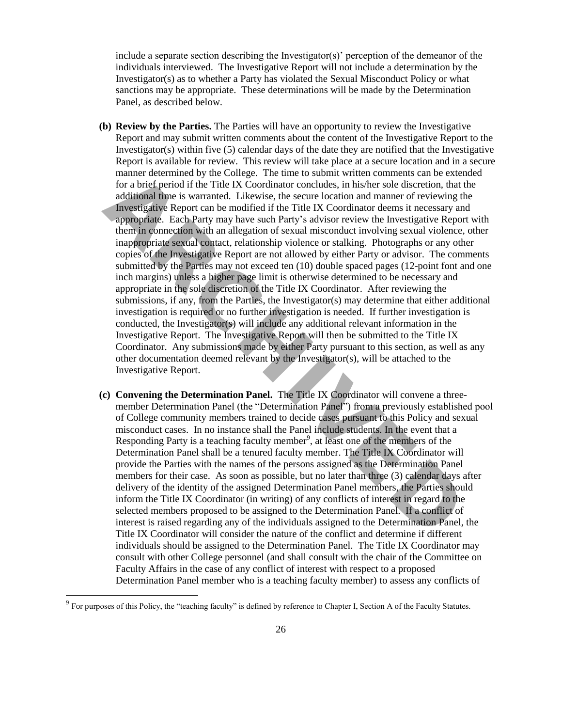include a separate section describing the Investigator(s)' perception of the demeanor of the individuals interviewed. The Investigative Report will not include a determination by the Investigator(s) as to whether a Party has violated the Sexual Misconduct Policy or what sanctions may be appropriate. These determinations will be made by the Determination Panel, as described below.

- **(b) Review by the Parties.** The Parties will have an opportunity to review the Investigative Report and may submit written comments about the content of the Investigative Report to the Investigator(s) within five  $(5)$  calendar days of the date they are notified that the Investigative Report is available for review. This review will take place at a secure location and in a secure manner determined by the College. The time to submit written comments can be extended for a brief period if the Title IX Coordinator concludes, in his/her sole discretion, that the additional time is warranted. Likewise, the secure location and manner of reviewing the Investigative Report can be modified if the Title IX Coordinator deems it necessary and appropriate. Each Party may have such Party's advisor review the Investigative Report with them in connection with an allegation of sexual misconduct involving sexual violence, other inappropriate sexual contact, relationship violence or stalking. Photographs or any other copies of the Investigative Report are not allowed by either Party or advisor. The comments submitted by the Parties may not exceed ten (10) double spaced pages (12-point font and one inch margins) unless a higher page limit is otherwise determined to be necessary and appropriate in the sole discretion of the Title IX Coordinator. After reviewing the submissions, if any, from the Parties, the Investigator(s) may determine that either additional investigation is required or no further investigation is needed. If further investigation is conducted, the Investigator(s) will include any additional relevant information in the Investigative Report. The Investigative Report will then be submitted to the Title IX Coordinator. Any submissions made by either Party pursuant to this section, as well as any other documentation deemed relevant by the Investigator(s), will be attached to the Investigative Report. manner determined by the Colige. In the to submit written comments can be<br>sparking and the priori of the CIM Coordinator concludes, in his/her sole discretion, the diditional time is warranted. Likewise, the secure locatio
- **(c) Convening the Determination Panel.** The Title IX Coordinator will convene a threemember Determination Panel (the "Determination Panel") from a previously established pool of College community members trained to decide cases pursuant to this Policy and sexual misconduct cases. In no instance shall the Panel include students. In the event that a Responding Party is a teaching faculty member<sup>9</sup>, at least one of the members of the Determination Panel shall be a tenured faculty member. The Title IX Coordinator will provide the Parties with the names of the persons assigned as the Determination Panel members for their case. As soon as possible, but no later than three (3) calendar days after delivery of the identity of the assigned Determination Panel members, the Parties should inform the Title IX Coordinator (in writing) of any conflicts of interest in regard to the selected members proposed to be assigned to the Determination Panel. If a conflict of interest is raised regarding any of the individuals assigned to the Determination Panel, the Title IX Coordinator will consider the nature of the conflict and determine if different individuals should be assigned to the Determination Panel. The Title IX Coordinator may consult with other College personnel (and shall consult with the chair of the Committee on Faculty Affairs in the case of any conflict of interest with respect to a proposed Determination Panel member who is a teaching faculty member) to assess any conflicts of

 $\overline{\phantom{a}}$ 

 $9^9$  For purposes of this Policy, the "teaching faculty" is defined by reference to Chapter I, Section A of the Faculty Statutes.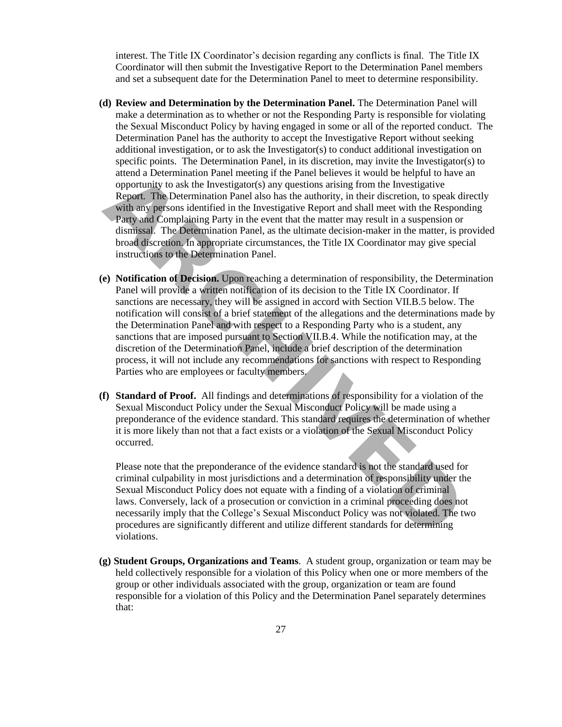interest. The Title IX Coordinator's decision regarding any conflicts is final. The Title IX Coordinator will then submit the Investigative Report to the Determination Panel members and set a subsequent date for the Determination Panel to meet to determine responsibility.

- **(d) Review and Determination by the Determination Panel.** The Determination Panel will make a determination as to whether or not the Responding Party is responsible for violating the Sexual Misconduct Policy by having engaged in some or all of the reported conduct. The Determination Panel has the authority to accept the Investigative Report without seeking additional investigation, or to ask the Investigator(s) to conduct additional investigation on specific points. The Determination Panel, in its discretion, may invite the Investigator(s) to attend a Determination Panel meeting if the Panel believes it would be helpful to have an opportunity to ask the Investigator(s) any questions arising from the Investigative Report. The Determination Panel also has the authority, in their discretion, to speak directly with any persons identified in the Investigative Report and shall meet with the Responding Party and Complaining Party in the event that the matter may result in a suspension or dismissal. The Determination Panel, as the ultimate decision-maker in the matter, is provided broad discretion. In appropriate circumstances, the Title IX Coordinator may give special instructions to the Determination Panel.
- **(e) Notification of Decision.** Upon reaching a determination of responsibility, the Determination Panel will provide a written notification of its decision to the Title IX Coordinator. If sanctions are necessary, they will be assigned in accord with Section VII.B.5 below. The notification will consist of a brief statement of the allegations and the determinations made by the Determination Panel and with respect to a Responding Party who is a student, any sanctions that are imposed pursuant to Section VII.B.4. While the notification may, at the discretion of the Determination Panel, include a brief description of the determination process, it will not include any recommendations for sanctions with respect to Responding Parties who are employees or faculty members. atena a Letermination Panel meet meet meet meet meet meet the control of the present and computing to ask the Investigator(s) any questions arising from the Investigative Report. The Determination Panel also has the author
- **(f) Standard of Proof.** All findings and determinations of responsibility for a violation of the Sexual Misconduct Policy under the Sexual Misconduct Policy will be made using a preponderance of the evidence standard. This standard requires the determination of whether it is more likely than not that a fact exists or a violation of the Sexual Misconduct Policy occurred.

Please note that the preponderance of the evidence standard is not the standard used for criminal culpability in most jurisdictions and a determination of responsibility under the Sexual Misconduct Policy does not equate with a finding of a violation of criminal laws. Conversely, lack of a prosecution or conviction in a criminal proceeding does not necessarily imply that the College's Sexual Misconduct Policy was not violated. The two procedures are significantly different and utilize different standards for determining violations.

**(g) Student Groups, Organizations and Teams**. A student group, organization or team may be held collectively responsible for a violation of this Policy when one or more members of the group or other individuals associated with the group, organization or team are found responsible for a violation of this Policy and the Determination Panel separately determines that: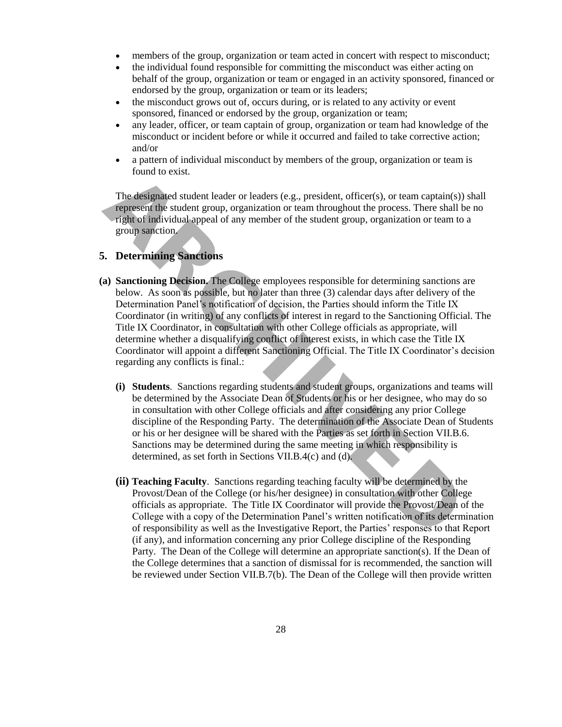- members of the group, organization or team acted in concert with respect to misconduct;
- the individual found responsible for committing the misconduct was either acting on behalf of the group, organization or team or engaged in an activity sponsored, financed or endorsed by the group, organization or team or its leaders;
- the misconduct grows out of, occurs during, or is related to any activity or event sponsored, financed or endorsed by the group, organization or team;
- any leader, officer, or team captain of group, organization or team had knowledge of the misconduct or incident before or while it occurred and failed to take corrective action; and/or
- a pattern of individual misconduct by members of the group, organization or team is found to exist.

The designated student leader or leaders (e.g., president, officer(s), or team captain(s)) shall represent the student group, organization or team throughout the process. There shall be no right of individual appeal of any member of the student group, organization or team to a group sanction.

# **5. Determining Sanctions**

- **(a) Sanctioning Decision.** The College employees responsible for determining sanctions are below. As soon as possible, but no later than three (3) calendar days after delivery of the Determination Panel's notification of decision, the Parties should inform the Title IX Coordinator (in writing) of any conflicts of interest in regard to the Sanctioning Official. The Title IX Coordinator, in consultation with other College officials as appropriate, will determine whether a disqualifying conflict of interest exists, in which case the Title IX Coordinator will appoint a different Sanctioning Official. The Title IX Coordinator's decision regarding any conflicts is final.: Final diversion to exist.<br>
The designated student leader or leaders (e.g., president, officer(s), or team captain<br>
represent the student group, organization or team throughout the process. There she<br>
represent the student
	- **(i) Students**. Sanctions regarding students and student groups, organizations and teams will be determined by the Associate Dean of Students or his or her designee, who may do so in consultation with other College officials and after considering any prior College discipline of the Responding Party. The determination of the Associate Dean of Students or his or her designee will be shared with the Parties as set forth in Section VII.B.6. Sanctions may be determined during the same meeting in which responsibility is determined, as set forth in Sections VII.B.4(c) and (d).
	- **(ii) Teaching Faculty**. Sanctions regarding teaching faculty will be determined by the Provost/Dean of the College (or his/her designee) in consultation with other College officials as appropriate. The Title IX Coordinator will provide the Provost/Dean of the College with a copy of the Determination Panel's written notification of its determination of responsibility as well as the Investigative Report, the Parties' responses to that Report (if any), and information concerning any prior College discipline of the Responding Party. The Dean of the College will determine an appropriate sanction(s). If the Dean of the College determines that a sanction of dismissal for is recommended, the sanction will be reviewed under Section VII.B.7(b). The Dean of the College will then provide written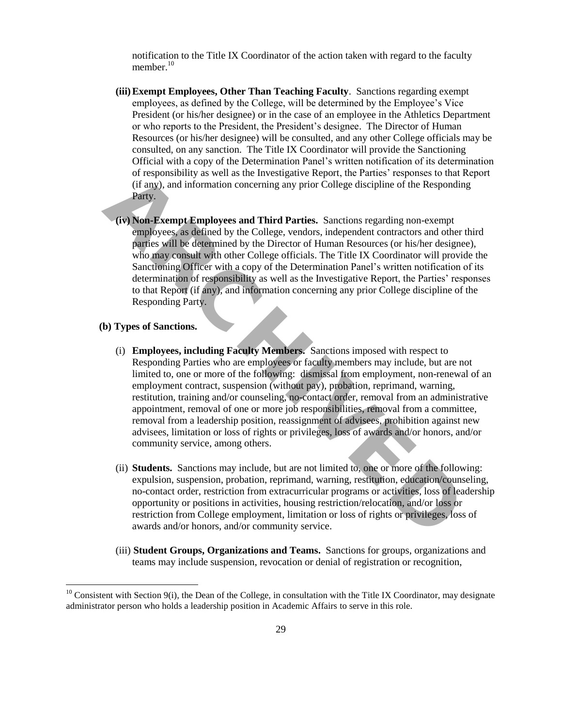notification to the Title IX Coordinator of the action taken with regard to the faculty member.<sup>10</sup>

- **(iii) Exempt Employees, Other Than Teaching Faculty**. Sanctions regarding exempt employees, as defined by the College, will be determined by the Employee's Vice President (or his/her designee) or in the case of an employee in the Athletics Department or who reports to the President, the President's designee. The Director of Human Resources (or his/her designee) will be consulted, and any other College officials may be consulted, on any sanction. The Title IX Coordinator will provide the Sanctioning Official with a copy of the Determination Panel's written notification of its determination of responsibility as well as the Investigative Report, the Parties' responses to that Report (if any), and information concerning any prior College discipline of the Responding Party.
- **(iv) Non-Exempt Employees and Third Parties.** Sanctions regarding non-exempt employees, as defined by the College, vendors, independent contractors and other third parties will be determined by the Director of Human Resources (or his/her designee), who may consult with other College officials. The Title IX Coordinator will provide the Sanctioning Officer with a copy of the Determination Panel's written notification of its determination of responsibility as well as the Investigative Report, the Parties' responses to that Report (if any), and information concerning any prior College discipline of the Responding Party.

### **(b) Types of Sanctions.**

 $\overline{\phantom{a}}$ 

- (i) **Employees, including Faculty Members.** Sanctions imposed with respect to Responding Parties who are employees or faculty members may include, but are not limited to, one or more of the following: dismissal from employment, non-renewal of an employment contract, suspension (without pay), probation, reprimand, warning, restitution, training and/or counseling, no-contact order, removal from an administrative appointment, removal of one or more job responsibilities, removal from a committee, removal from a leadership position, reassignment of advisees, prohibition against new advisees, limitation or loss of rights or privileges, loss of awards and/or honors, and/or community service, among others. or responsibility as well as the investigative keport, the Parties responses to traction (if any), and information concerning any prior College discipline of the Respondent College, and Departic Section (iv) **Non-Exempt Em** 
	- (ii) **Students.** Sanctions may include, but are not limited to, one or more of the following: expulsion, suspension, probation, reprimand, warning, restitution, education/counseling, no-contact order, restriction from extracurricular programs or activities, loss of leadership opportunity or positions in activities, housing restriction/relocation, and/or loss or restriction from College employment, limitation or loss of rights or privileges, loss of awards and/or honors, and/or community service.
	- (iii) **Student Groups, Organizations and Teams.** Sanctions for groups, organizations and teams may include suspension, revocation or denial of registration or recognition,

 $10$  Consistent with Section 9(i), the Dean of the College, in consultation with the Title IX Coordinator, may designate administrator person who holds a leadership position in Academic Affairs to serve in this role.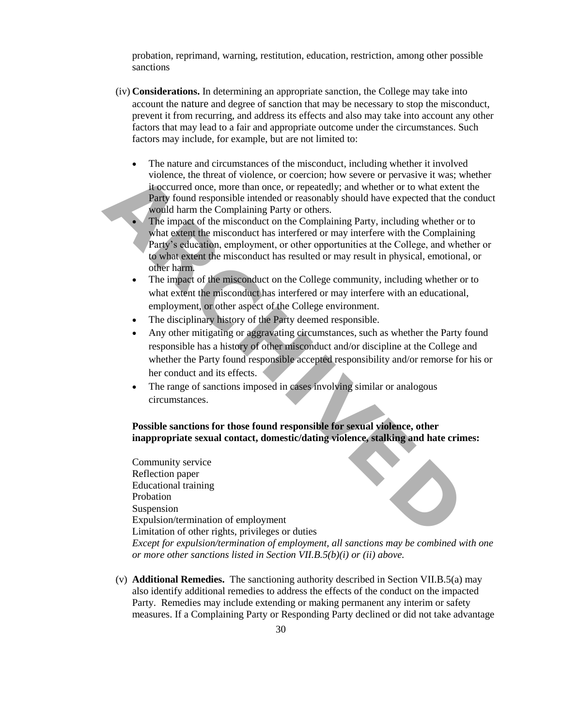probation, reprimand, warning, restitution, education, restriction, among other possible sanctions

- (iv) **Considerations.** In determining an appropriate sanction, the College may take into account the nature and degree of sanction that may be necessary to stop the misconduct, prevent it from recurring, and address its effects and also may take into account any other factors that may lead to a fair and appropriate outcome under the circumstances. Such factors may include, for example, but are not limited to:
	- The nature and circumstances of the misconduct, including whether it involved violence, the threat of violence, or coercion; how severe or pervasive it was; whether it occurred once, more than once, or repeatedly; and whether or to what extent the Party found responsible intended or reasonably should have expected that the conduct would harm the Complaining Party or others.
	- The impact of the misconduct on the Complaining Party, including whether or to what extent the misconduct has interfered or may interfere with the Complaining Party's education, employment, or other opportunities at the College, and whether or to what extent the misconduct has resulted or may result in physical, emotional, or other harm.
	- The impact of the misconduct on the College community, including whether or to what extent the misconduct has interfered or may interfere with an educational, employment, or other aspect of the College environment.
	- The disciplinary history of the Party deemed responsible.
	- Any other mitigating or aggravating circumstances, such as whether the Party found responsible has a history of other misconduct and/or discipline at the College and whether the Party found responsible accepted responsibility and/or remorse for his or her conduct and its effects.
	- The range of sanctions imposed in cases involving similar or analogous circumstances.

# **Possible sanctions for those found responsible for sexual violence, other inappropriate sexual contact, domestic/dating violence, stalking and hate crimes:**

Community service Reflection paper Educational training Probation Suspension Expulsion/termination of employment Limitation of other rights, privileges or duties *Except for expulsion/termination of employment, all sanctions may be combined with one or more other sanctions listed in Section VII.B.5(b)(i) or (ii) above.* violence, the threat of violence, or coercion; how severe or pervasive it was<br>it occurred once, more than once, or repeatedly; and whether or to what ex-<br>**Party** found responsible intended or reasonably should have expecte

(v) **Additional Remedies.** The sanctioning authority described in Section VII.B.5(a) may also identify additional remedies to address the effects of the conduct on the impacted Party. Remedies may include extending or making permanent any interim or safety measures. If a Complaining Party or Responding Party declined or did not take advantage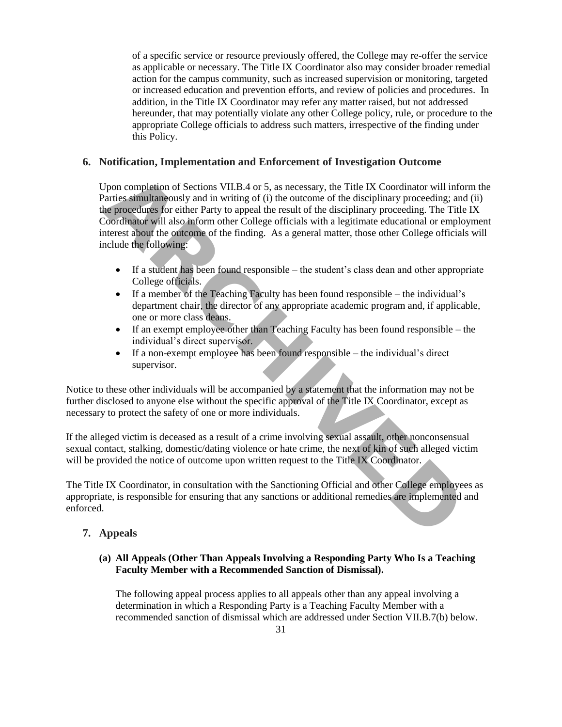of a specific service or resource previously offered, the College may re-offer the service as applicable or necessary. The Title IX Coordinator also may consider broader remedial action for the campus community, such as increased supervision or monitoring, targeted or increased education and prevention efforts, and review of policies and procedures. In addition, in the Title IX Coordinator may refer any matter raised, but not addressed hereunder, that may potentially violate any other College policy, rule, or procedure to the appropriate College officials to address such matters, irrespective of the finding under this Policy.

# **6. Notification, Implementation and Enforcement of Investigation Outcome**

Upon completion of Sections VII.B.4 or 5, as necessary, the Title IX Coordinator will inform the Parties simultaneously and in writing of (i) the outcome of the disciplinary proceeding; and (ii) the procedures for either Party to appeal the result of the disciplinary proceeding. The Title IX Coordinator will also inform other College officials with a legitimate educational or employment interest about the outcome of the finding. As a general matter, those other College officials will include the following: Upon completion of Sections VII.B.4 or 5, as necessary, the Title IX Coordinator will contract simultaneously and in writing of (i) the outcome of the disciplinary proceeding the procedures for either Party to appeal the

- If a student has been found responsible the student's class dean and other appropriate College officials.
- If a member of the Teaching Faculty has been found responsible the individual's department chair, the director of any appropriate academic program and, if applicable, one or more class deans.
- If an exempt employee other than Teaching Faculty has been found responsible the individual's direct supervisor.
- If a non-exempt employee has been found responsible the individual's direct supervisor.

Notice to these other individuals will be accompanied by a statement that the information may not be further disclosed to anyone else without the specific approval of the Title IX Coordinator, except as necessary to protect the safety of one or more individuals.

If the alleged victim is deceased as a result of a crime involving sexual assault, other nonconsensual sexual contact, stalking, domestic/dating violence or hate crime, the next of kin of such alleged victim will be provided the notice of outcome upon written request to the Title IX Coordinator.

The Title IX Coordinator, in consultation with the Sanctioning Official and other College employees as appropriate, is responsible for ensuring that any sanctions or additional remedies are implemented and enforced.

# **7. Appeals**

# **(a) All Appeals (Other Than Appeals Involving a Responding Party Who Is a Teaching Faculty Member with a Recommended Sanction of Dismissal).**

The following appeal process applies to all appeals other than any appeal involving a determination in which a Responding Party is a Teaching Faculty Member with a recommended sanction of dismissal which are addressed under Section VII.B.7(b) below.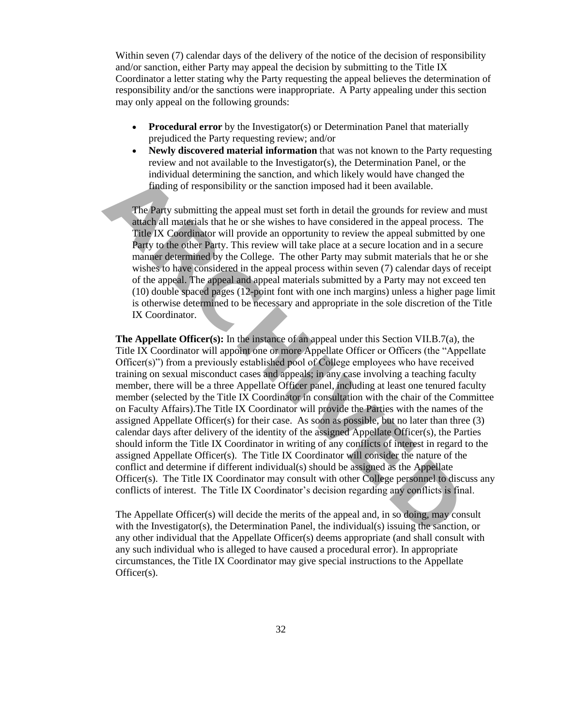Within seven (7) calendar days of the delivery of the notice of the decision of responsibility and/or sanction, either Party may appeal the decision by submitting to the Title IX Coordinator a letter stating why the Party requesting the appeal believes the determination of responsibility and/or the sanctions were inappropriate. A Party appealing under this section may only appeal on the following grounds:

- **Procedural error** by the Investigator(s) or Determination Panel that materially prejudiced the Party requesting review; and/or
- **Newly discovered material information** that was not known to the Party requesting review and not available to the Investigator(s), the Determination Panel, or the individual determining the sanction, and which likely would have changed the finding of responsibility or the sanction imposed had it been available.

The Party submitting the appeal must set forth in detail the grounds for review and must attach all materials that he or she wishes to have considered in the appeal process. The Title IX Coordinator will provide an opportunity to review the appeal submitted by one Party to the other Party. This review will take place at a secure location and in a secure manner determined by the College. The other Party may submit materials that he or she wishes to have considered in the appeal process within seven (7) calendar days of receipt of the appeal. The appeal and appeal materials submitted by a Party may not exceed ten (10) double spaced pages (12-point font with one inch margins) unless a higher page limit is otherwise determined to be necessary and appropriate in the sole discretion of the Title IX Coordinator.

**The Appellate Officer(s):** In the instance of an appeal under this Section VII.B.7(a), the Title IX Coordinator will appoint one or more Appellate Officer or Officers (the "Appellate Officer(s)") from a previously established pool of College employees who have received training on sexual misconduct cases and appeals; in any case involving a teaching faculty member, there will be a three Appellate Officer panel, including at least one tenured faculty member (selected by the Title IX Coordinator in consultation with the chair of the Committee on Faculty Affairs).The Title IX Coordinator will provide the Parties with the names of the assigned Appellate Officer(s) for their case. As soon as possible, but no later than three (3) calendar days after delivery of the identity of the assigned Appellate Officer(s), the Parties should inform the Title IX Coordinator in writing of any conflicts of interest in regard to the assigned Appellate Officer(s). The Title IX Coordinator will consider the nature of the conflict and determine if different individual(s) should be assigned as the Appellate Officer(s). The Title IX Coordinator may consult with other College personnel to discuss any conflicts of interest. The Title IX Coordinator's decision regarding any conflicts is final. individual determining the sanction, and which likely would have changed<br> **ARCHIVE SUBMENT THE CONSTANT CONSTANT CONSTANT CONSTANT THE PRACT PROFINED THE PRACT AND MATE (INCORDINATO THE ARCHIVED THE CONSTANT CONSTANT CONST** 

The Appellate Officer(s) will decide the merits of the appeal and, in so doing, may consult with the Investigator(s), the Determination Panel, the individual(s) issuing the sanction, or any other individual that the Appellate Officer(s) deems appropriate (and shall consult with any such individual who is alleged to have caused a procedural error). In appropriate circumstances, the Title IX Coordinator may give special instructions to the Appellate Officer(s).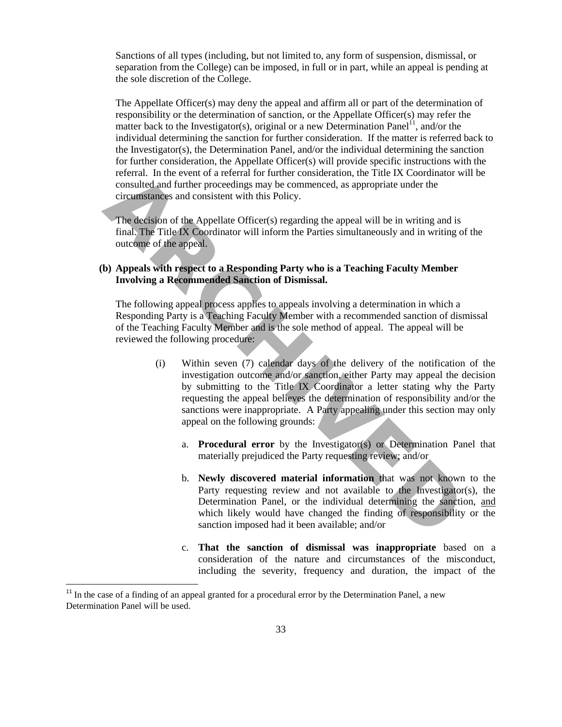Sanctions of all types (including, but not limited to, any form of suspension, dismissal, or separation from the College) can be imposed, in full or in part, while an appeal is pending at the sole discretion of the College.

The Appellate Officer(s) may deny the appeal and affirm all or part of the determination of responsibility or the determination of sanction, or the Appellate Officer(s) may refer the matter back to the Investigator(s), original or a new Determination Panel<sup>11</sup>, and/or the individual determining the sanction for further consideration. If the matter is referred back to the Investigator(s), the Determination Panel, and/or the individual determining the sanction for further consideration, the Appellate Officer(s) will provide specific instructions with the referral. In the event of a referral for further consideration, the Title IX Coordinator will be consulted and further proceedings may be commenced, as appropriate under the circumstances and consistent with this Policy.

The decision of the Appellate Officer(s) regarding the appeal will be in writing and is final. The Title IX Coordinator will inform the Parties simultaneously and in writing of the outcome of the appeal.

# **(b) Appeals with respect to a Responding Party who is a Teaching Faculty Member Involving a Recommended Sanction of Dismissal.**

The following appeal process applies to appeals involving a determination in which a Responding Party is a Teaching Faculty Member with a recommended sanction of dismissal of the Teaching Faculty Member and is the sole method of appeal. The appeal will be reviewed the following procedure:

- (i) Within seven (7) calendar days of the delivery of the notification of the investigation outcome and/or sanction, either Party may appeal the decision by submitting to the Title IX Coordinator a letter stating why the Party requesting the appeal believes the determination of responsibility and/or the sanctions were inappropriate. A Party appealing under this section may only appeal on the following grounds: reteral. In the event of a reterral for further consideration, the 11x Coordinate<br>consulted and further proceedings may be commenced, as appropriate under the<br>criteriumstances and consistent with this Policy.<br>The decision
	- a. **Procedural error** by the Investigator(s) or Determination Panel that materially prejudiced the Party requesting review; and/or
	- b. **Newly discovered material information** that was not known to the Party requesting review and not available to the Investigator(s), the Determination Panel, or the individual determining the sanction, and which likely would have changed the finding of responsibility or the sanction imposed had it been available; and/or
	- c. **That the sanction of dismissal was inappropriate** based on a consideration of the nature and circumstances of the misconduct, including the severity, frequency and duration, the impact of the

 $\overline{\phantom{a}}$ 

<sup>&</sup>lt;sup>11</sup> In the case of a finding of an appeal granted for a procedural error by the Determination Panel, a new Determination Panel will be used.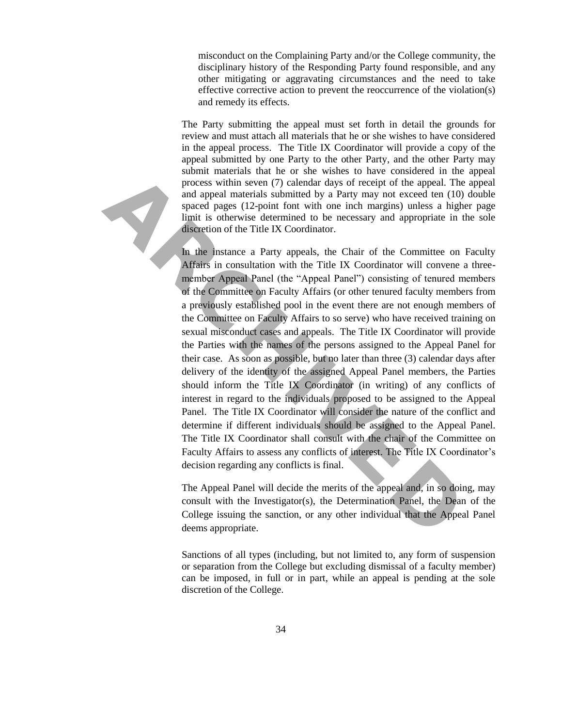misconduct on the Complaining Party and/or the College community, the disciplinary history of the Responding Party found responsible, and any other mitigating or aggravating circumstances and the need to take effective corrective action to prevent the reoccurrence of the violation(s) and remedy its effects.

The Party submitting the appeal must set forth in detail the grounds for review and must attach all materials that he or she wishes to have considered in the appeal process. The Title IX Coordinator will provide a copy of the appeal submitted by one Party to the other Party, and the other Party may submit materials that he or she wishes to have considered in the appeal process within seven (7) calendar days of receipt of the appeal. The appeal and appeal materials submitted by a Party may not exceed ten (10) double spaced pages (12-point font with one inch margins) unless a higher page limit is otherwise determined to be necessary and appropriate in the sole discretion of the Title IX Coordinator.

In the instance a Party appeals, the Chair of the Committee on Faculty Affairs in consultation with the Title IX Coordinator will convene a threemember Appeal Panel (the "Appeal Panel") consisting of tenured members of the Committee on Faculty Affairs (or other tenured faculty members from a previously established pool in the event there are not enough members of the Committee on Faculty Affairs to so serve) who have received training on sexual misconduct cases and appeals. The Title IX Coordinator will provide the Parties with the names of the persons assigned to the Appeal Panel for their case. As soon as possible, but no later than three (3) calendar days after delivery of the identity of the assigned Appeal Panel members, the Parties should inform the Title IX Coordinator (in writing) of any conflicts of interest in regard to the individuals proposed to be assigned to the Appeal Panel. The Title IX Coordinator will consider the nature of the conflict and determine if different individuals should be assigned to the Appeal Panel. The Title IX Coordinator shall consult with the chair of the Committee on Faculty Affairs to assess any conflicts of interest. The Title IX Coordinator's decision regarding any conflicts is final. sometical tasks und the of site winsts of take process within seven (7) calendar days of receipt of the appeal.<br>
And appeal materials submitted by a Party may not exceed ten (<br>
And appeal materials submitted by a Party may

The Appeal Panel will decide the merits of the appeal and, in so doing, may consult with the Investigator(s), the Determination Panel, the Dean of the College issuing the sanction, or any other individual that the Appeal Panel deems appropriate.

Sanctions of all types (including, but not limited to, any form of suspension or separation from the College but excluding dismissal of a faculty member) can be imposed, in full or in part, while an appeal is pending at the sole discretion of the College.

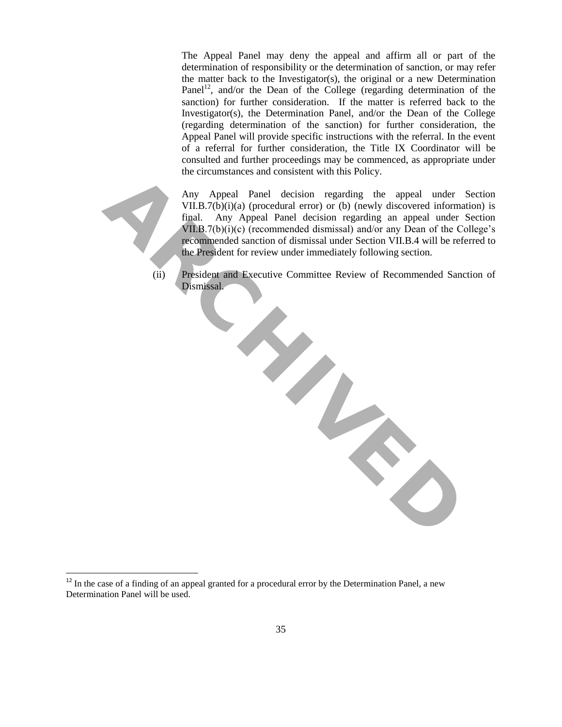The Appeal Panel may deny the appeal and affirm all or part of the determination of responsibility or the determination of sanction, or may refer the matter back to the Investigator(s), the original or a new Determination Panel<sup>12</sup>, and/or the Dean of the College (regarding determination of the sanction) for further consideration. If the matter is referred back to the Investigator(s), the Determination Panel, and/or the Dean of the College (regarding determination of the sanction) for further consideration, the Appeal Panel will provide specific instructions with the referral. In the event of a referral for further consideration, the Title IX Coordinator will be consulted and further proceedings may be commenced, as appropriate under the circumstances and consistent with this Policy.

 $\overline{\phantom{a}}$ 

Any Appeal Panel decision regarding the appeal under Section VII.B.7(b)(i)(a) (procedural error) or (b) (newly discovered information) is final. Any Appeal Panel decision regarding an appeal under Section VII.B.7(b)(i)(c) (recommended dismissal) and/or any Dean of the College's recommended sanction of dismissal under Section VII.B.4 will be referred to the President for review under immediately following section.

(ii) President and Executive Committee Review of Recommended Sanction of Dismissal.



 $12$  In the case of a finding of an appeal granted for a procedural error by the Determination Panel, a new Determination Panel will be used.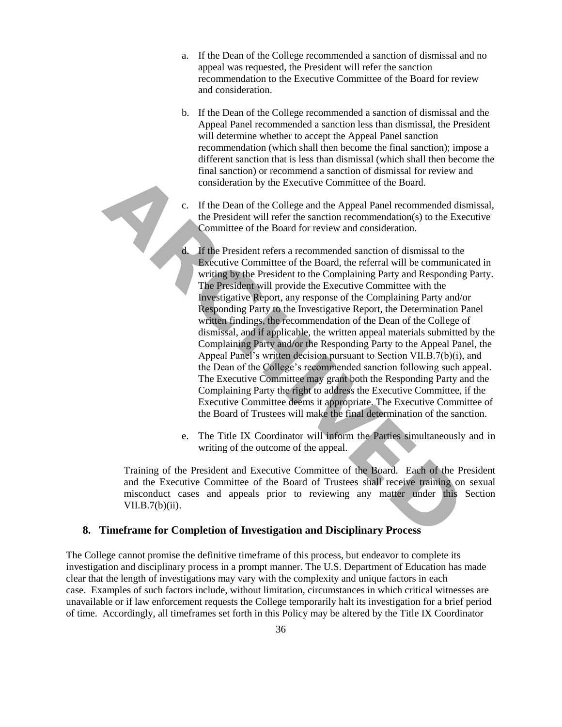- a. If the Dean of the College recommended a sanction of dismissal and no appeal was requested, the President will refer the sanction recommendation to the Executive Committee of the Board for review and consideration.
- b. If the Dean of the College recommended a sanction of dismissal and the Appeal Panel recommended a sanction less than dismissal, the President will determine whether to accept the Appeal Panel sanction recommendation (which shall then become the final sanction); impose a different sanction that is less than dismissal (which shall then become the final sanction) or recommend a sanction of dismissal for review and consideration by the Executive Committee of the Board.
- c. If the Dean of the College and the Appeal Panel recommended dismissal, the President will refer the sanction recommendation(s) to the Executive Committee of the Board for review and consideration.
- d. If the President refers a recommended sanction of dismissal to the Executive Committee of the Board, the referral will be communicated in writing by the President to the Complaining Party and Responding Party. The President will provide the Executive Committee with the Investigative Report, any response of the Complaining Party and/or Responding Party to the Investigative Report, the Determination Panel written findings, the recommendation of the Dean of the College of dismissal, and if applicable, the written appeal materials submitted by the Complaining Party and/or the Responding Party to the Appeal Panel, the Appeal Panel's written decision pursuant to Section VII.B.7(b)(i), and the Dean of the College's recommended sanction following such appeal. The Executive Committee may grant both the Responding Party and the Complaining Party the right to address the Executive Committee, if the Executive Committee deems it appropriate. The Executive Committee of the Board of Trustees will make the final determination of the sanction. Fraining standard of the Debautive Commieted and the Debautive Committee of the Board.<br> **A.** If the Dean of the College and the Appeal Panel recommended the President will refer the sanction recommendation(s) to the Commit
	- e. The Title IX Coordinator will inform the Parties simultaneously and in writing of the outcome of the appeal.

Training of the President and Executive Committee of the Board. Each of the President and the Executive Committee of the Board of Trustees shall receive training on sexual misconduct cases and appeals prior to reviewing any matter under this Section VII.B.7(b)(ii).

# **8. Timeframe for Completion of Investigation and Disciplinary Process**

The College cannot promise the definitive timeframe of this process, but endeavor to complete its investigation and disciplinary process in a prompt manner. The U.S. Department of Education has made clear that the length of investigations may vary with the complexity and unique factors in each case. Examples of such factors include, without limitation, circumstances in which critical witnesses are unavailable or if law enforcement requests the College temporarily halt its investigation for a brief period of time. Accordingly, all timeframes set forth in this Policy may be altered by the Title IX Coordinator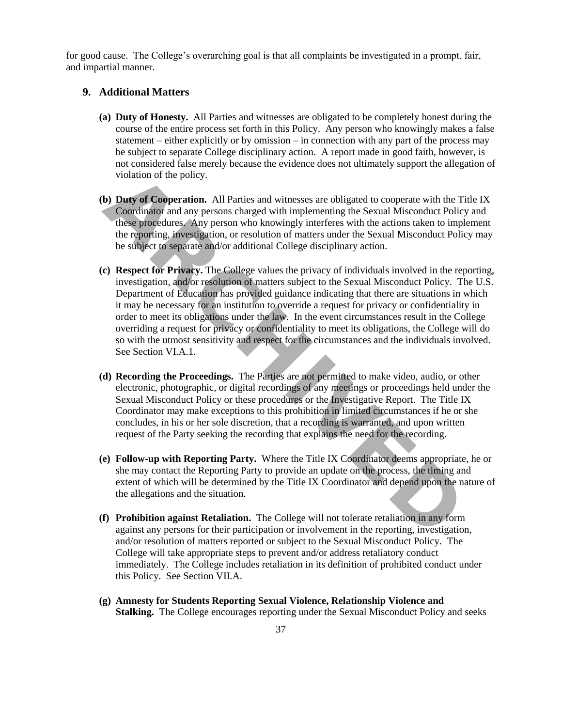for good cause. The College's overarching goal is that all complaints be investigated in a prompt, fair, and impartial manner.

### **9. Additional Matters**

- **(a) Duty of Honesty.** All Parties and witnesses are obligated to be completely honest during the course of the entire process set forth in this Policy. Any person who knowingly makes a false statement – either explicitly or by omission – in connection with any part of the process may be subject to separate College disciplinary action. A report made in good faith, however, is not considered false merely because the evidence does not ultimately support the allegation of violation of the policy.
- **(b) Duty of Cooperation.** All Parties and witnesses are obligated to cooperate with the Title IX Coordinator and any persons charged with implementing the Sexual Misconduct Policy and these procedures. Any person who knowingly interferes with the actions taken to implement the reporting, investigation, or resolution of matters under the Sexual Misconduct Policy may be subject to separate and/or additional College disciplinary action.
- **(c) Respect for Privacy.** The College values the privacy of individuals involved in the reporting, investigation, and/or resolution of matters subject to the Sexual Misconduct Policy. The U.S. Department of Education has provided guidance indicating that there are situations in which it may be necessary for an institution to override a request for privacy or confidentiality in order to meet its obligations under the law. In the event circumstances result in the College overriding a request for privacy or confidentiality to meet its obligations, the College will do so with the utmost sensitivity and respect for the circumstances and the individuals involved. See Section VI.A.1. violation of the policy.<br> **ABC** Dometrion. All Parties and witnesses are obligated to cooperate with the Coordinator and any preson shenced with implementing the Sexual Misconduct Person the Septembent and any preson who k
- **(d) Recording the Proceedings.** The Parties are not permitted to make video, audio, or other electronic, photographic, or digital recordings of any meetings or proceedings held under the Sexual Misconduct Policy or these procedures or the Investigative Report. The Title IX Coordinator may make exceptions to this prohibition in limited circumstances if he or she concludes, in his or her sole discretion, that a recording is warranted, and upon written request of the Party seeking the recording that explains the need for the recording.
- **(e) Follow-up with Reporting Party.** Where the Title IX Coordinator deems appropriate, he or she may contact the Reporting Party to provide an update on the process, the timing and extent of which will be determined by the Title IX Coordinator and depend upon the nature of the allegations and the situation.
- **(f) Prohibition against Retaliation.** The College will not tolerate retaliation in any form against any persons for their participation or involvement in the reporting, investigation, and/or resolution of matters reported or subject to the Sexual Misconduct Policy. The College will take appropriate steps to prevent and/or address retaliatory conduct immediately. The College includes retaliation in its definition of prohibited conduct under this Policy. See Section VII.A.
- **(g) Amnesty for Students Reporting Sexual Violence, Relationship Violence and Stalking.** The College encourages reporting under the Sexual Misconduct Policy and seeks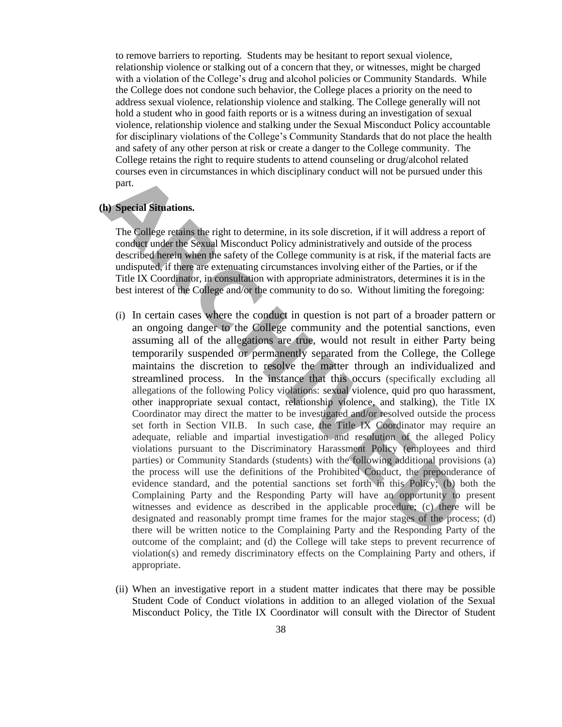to remove barriers to reporting. Students may be hesitant to report sexual violence, relationship violence or stalking out of a concern that they, or witnesses, might be charged with a violation of the College's drug and alcohol policies or Community Standards. While the College does not condone such behavior, the College places a priority on the need to address sexual violence, relationship violence and stalking. The College generally will not hold a student who in good faith reports or is a witness during an investigation of sexual violence, relationship violence and stalking under the Sexual Misconduct Policy accountable for disciplinary violations of the College's Community Standards that do not place the health and safety of any other person at risk or create a danger to the College community. The College retains the right to require students to attend counseling or drug/alcohol related courses even in circumstances in which disciplinary conduct will not be pursued under this part.

#### **(h) Special Situations.**

The College retains the right to determine, in its sole discretion, if it will address a report of conduct under the Sexual Misconduct Policy administratively and outside of the process described herein when the safety of the College community is at risk, if the material facts are undisputed, if there are extenuating circumstances involving either of the Parties, or if the Title IX Coordinator, in consultation with appropriate administrators, determines it is in the best interest of the College and/or the community to do so. Without limiting the foregoing:

- (i) In certain cases where the conduct in question is not part of a broader pattern or an ongoing danger to the College community and the potential sanctions, even assuming all of the allegations are true, would not result in either Party being temporarily suspended or permanently separated from the College, the College maintains the discretion to resolve the matter through an individualized and streamlined process. In the instance that this occurs (specifically excluding all allegations of the following Policy violations: sexual violence, quid pro quo harassment, other inappropriate sexual contact, relationship violence, and stalking), the Title IX Coordinator may direct the matter to be investigated and/or resolved outside the process set forth in Section VII.B. In such case, the Title IX Coordinator may require an adequate, reliable and impartial investigation and resolution of the alleged Policy violations pursuant to the Discriminatory Harassment Policy (employees and third parties) or Community Standards (students) with the following additional provisions (a) the process will use the definitions of the Prohibited Conduct, the preponderance of evidence standard, and the potential sanctions set forth in this Policy; (b) both the Complaining Party and the Responding Party will have an opportunity to present witnesses and evidence as described in the applicable procedure; (c) there will be designated and reasonably prompt time frames for the major stages of the process; (d) there will be written notice to the Complaining Party and the Responding Party of the outcome of the complaint; and (d) the College will take steps to prevent recurrence of violation(s) and remedy discriminatory effects on the Complaining Party and others, if appropriate. couss even in circumstances in winer userpinary conduct win not obe pursued un<br>
part.<br>
The College retains the right to determine, in its sole discretion, if it will address a<br>
rat.<br> **ADS** Special Situations.<br>
The College
	- (ii) When an investigative report in a student matter indicates that there may be possible Student Code of Conduct violations in addition to an alleged violation of the Sexual Misconduct Policy, the Title IX Coordinator will consult with the Director of Student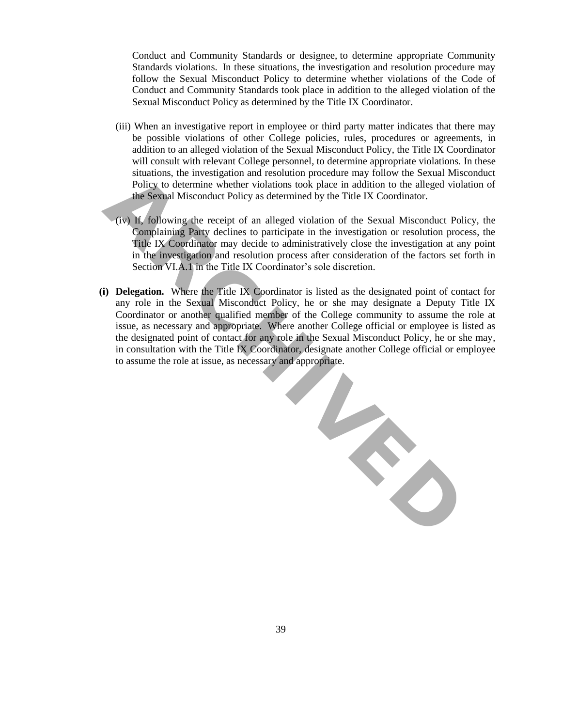Conduct and Community Standards or designee, to determine appropriate Community Standards violations. In these situations, the investigation and resolution procedure may follow the Sexual Misconduct Policy to determine whether violations of the Code of Conduct and Community Standards took place in addition to the alleged violation of the Sexual Misconduct Policy as determined by the Title IX Coordinator.

- (iii) When an investigative report in employee or third party matter indicates that there may be possible violations of other College policies, rules, procedures or agreements, in addition to an alleged violation of the Sexual Misconduct Policy, the Title IX Coordinator will consult with relevant College personnel, to determine appropriate violations. In these situations, the investigation and resolution procedure may follow the Sexual Misconduct Policy to determine whether violations took place in addition to the alleged violation of the Sexual Misconduct Policy as determined by the Title IX Coordinator.
- (iv) If, following the receipt of an alleged violation of the Sexual Misconduct Policy, the Complaining Party declines to participate in the investigation or resolution process, the Title IX Coordinator may decide to administratively close the investigation at any point in the investigation and resolution process after consideration of the factors set forth in Section VI.A.1 in the Title IX Coordinator's sole discretion.
- **(i) Delegation.** Where the Title IX Coordinator is listed as the designated point of contact for any role in the Sexual Misconduct Policy, he or she may designate a Deputy Title IX Coordinator or another qualified member of the College community to assume the role at issue, as necessary and appropriate. Where another College official or employee is listed as the designated point of contact for any role in the Sexual Misconduct Policy, he or she may, in consultation with the Title IX Coordinator, designate another College official or employee to assume the role at issue, as necessary and appropriate.

**ARCHIVED**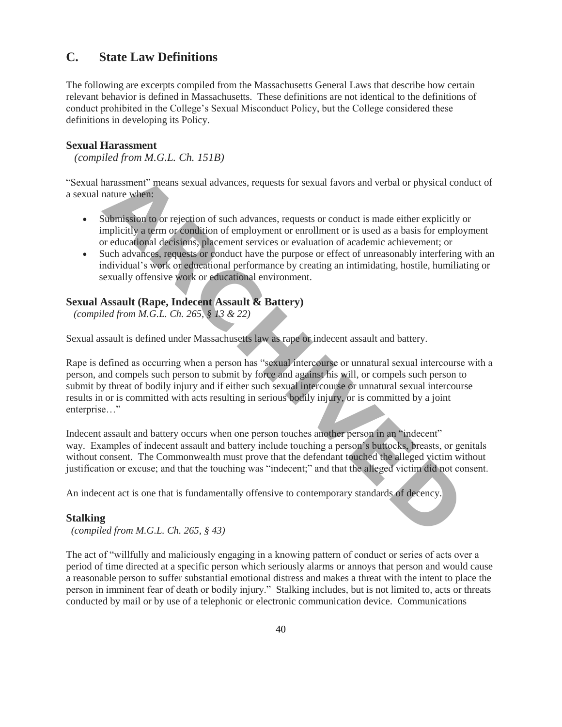# **C. State Law Definitions**

The following are excerpts compiled from the Massachusetts General Laws that describe how certain relevant behavior is defined in Massachusetts. These definitions are not identical to the definitions of conduct prohibited in the College's Sexual Misconduct Policy, but the College considered these definitions in developing its Policy.

### **Sexual Harassment**

 *(compiled from M.G.L. Ch. 151B)*

"Sexual harassment" means sexual advances, requests for sexual favors and verbal or physical conduct of a sexual nature when:

- Submission to or rejection of such advances, requests or conduct is made either explicitly or implicitly a term or condition of employment or enrollment or is used as a basis for employment or educational decisions, placement services or evaluation of academic achievement; or
- Such advances, requests or conduct have the purpose or effect of unreasonably interfering with an individual's work or educational performance by creating an intimidating, hostile, humiliating or sexually offensive work or educational environment.

### **Sexual Assault (Rape, Indecent Assault & Battery)**

*(compiled from M.G.L. Ch. 265, § 13 & 22)*

Sexual assault is defined under Massachusetts law as rape or indecent assault and battery.

Rape is defined as occurring when a person has "sexual intercourse or unnatural sexual intercourse with a person, and compels such person to submit by force and against his will, or compels such person to submit by threat of bodily injury and if either such sexual intercourse or unnatural sexual intercourse results in or is committed with acts resulting in serious bodily injury, or is committed by a joint enterprise…" harassment" means sexual advances, requests for sexual favors and verbal or physical nature when:<br>
Submission to or rejection of such advances, requests or conduct is made either explicit<br>
mplicitly a term or condition of

Indecent assault and battery occurs when one person touches another person in an "indecent" way. Examples of indecent assault and battery include touching a person's buttocks, breasts, or genitals without consent. The Commonwealth must prove that the defendant touched the alleged victim without justification or excuse; and that the touching was "indecent;" and that the alleged victim did not consent.

An indecent act is one that is fundamentally offensive to contemporary standards of decency.

#### **Stalking**

*(compiled from M.G.L. Ch. 265, § 43)*

The act of "willfully and maliciously engaging in a knowing pattern of conduct or series of acts over a period of time directed at a specific person which seriously alarms or annoys that person and would cause a reasonable person to suffer substantial emotional distress and makes a threat with the intent to place the person in imminent fear of death or bodily injury." Stalking includes, but is not limited to, acts or threats conducted by mail or by use of a telephonic or electronic communication device. Communications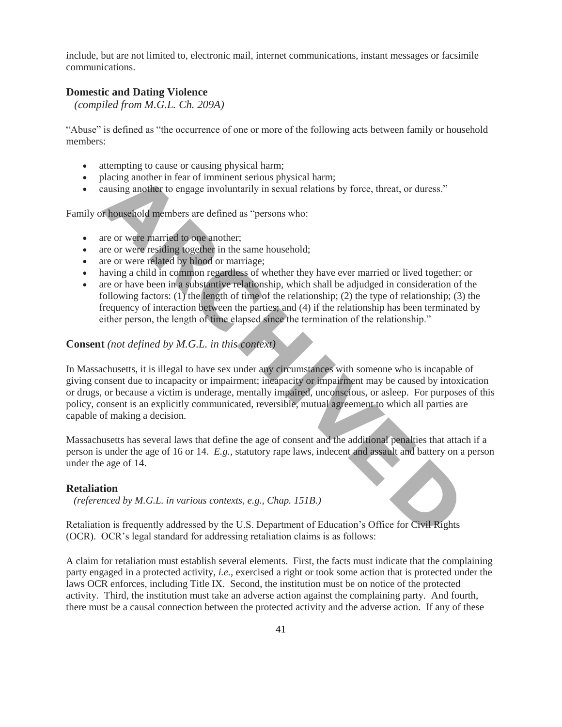include, but are not limited to, electronic mail, internet communications, instant messages or facsimile communications.

### **Domestic and Dating Violence**

 *(compiled from M.G.L. Ch. 209A)*

"Abuse" is defined as "the occurrence of one or more of the following acts between family or household members:

- attempting to cause or causing physical harm;
- placing another in fear of imminent serious physical harm;
- causing another to engage involuntarily in sexual relations by force, threat, or duress."

Family or household members are defined as "persons who:

- are or were married to one another:
- are or were residing together in the same household:
- are or were related by blood or marriage;
- having a child in common regardless of whether they have ever married or lived together; or
- are or have been in a substantive relationship, which shall be adjudged in consideration of the following factors: (1) the length of time of the relationship; (2) the type of relationship; (3) the frequency of interaction between the parties; and (4) if the relationship has been terminated by either person, the length of time elapsed since the termination of the relationship."

### **Consent** *(not defined by M.G.L. in this context)*

In Massachusetts, it is illegal to have sex under any circumstances with someone who is incapable of giving consent due to incapacity or impairment; incapacity or impairment may be caused by intoxication or drugs, or because a victim is underage, mentally impaired, unconscious, or asleep. For purposes of this policy, consent is an explicitly communicated, reversible, mutual agreement to which all parties are capable of making a decision. blacing another in fear of imminent serious physical harm;<br>
rausing another to engage involuntarily in sexual relations by force, threat, or duress."<br> **A household members are defined as** "persons who:<br> **ARCHIVE TO THE ARC** 

Massachusetts has several laws that define the age of consent and the additional penalties that attach if a person is under the age of 16 or 14. *E.g.*, statutory rape laws, indecent and assault and battery on a person under the age of 14.

#### **Retaliation**

 *(referenced by M.G.L. in various contexts, e.g., Chap. 151B.)*

Retaliation is frequently addressed by the U.S. Department of Education's Office for Civil Rights (OCR). OCR's legal standard for addressing retaliation claims is as follows:

A claim for retaliation must establish several elements. First, the facts must indicate that the complaining party engaged in a protected activity, *i.e.*, exercised a right or took some action that is protected under the laws OCR enforces, including Title IX. Second, the institution must be on notice of the protected activity. Third, the institution must take an adverse action against the complaining party. And fourth, there must be a causal connection between the protected activity and the adverse action. If any of these